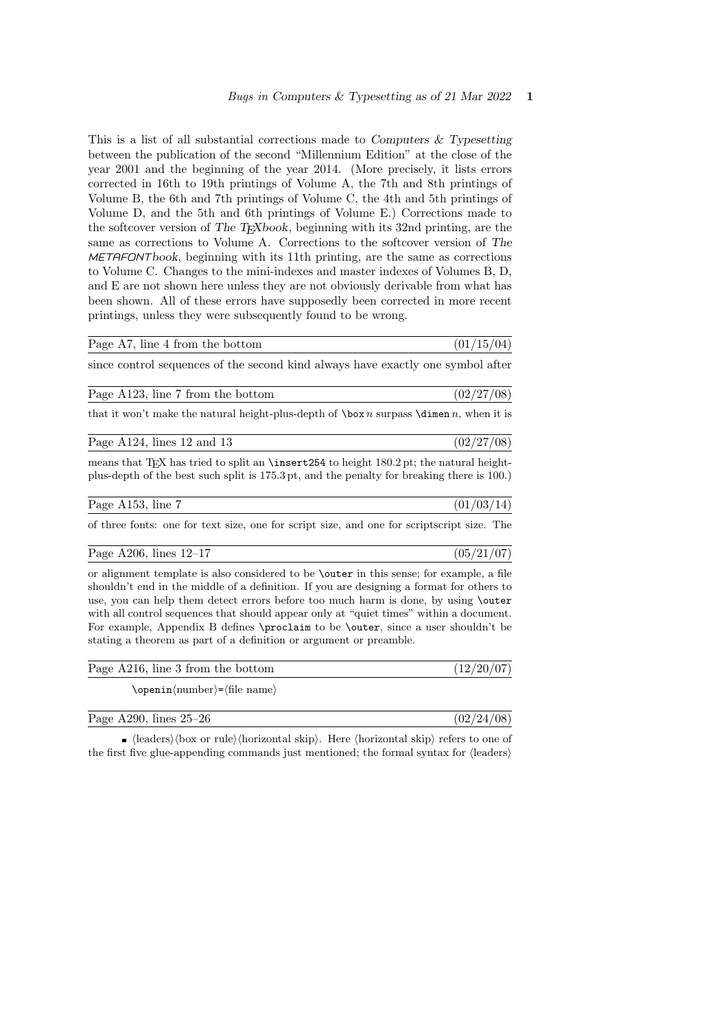This is a list of all substantial corrections made to Computers  $\&$  Typesetting between the publication of the second "Millennium Edition" at the close of the year 2001 and the beginning of the year 2014. (More precisely, it lists errors corrected in 16th to 19th printings of Volume A, the 7th and 8th printings of Volume B, the 6th and 7th printings of Volume C, the 4th and 5th printings of Volume D, and the 5th and 6th printings of Volume E.) Corrections made to the softcover version of The T<sub>E</sub>Xbook, beginning with its 32nd printing, are the same as corrections to Volume A. Corrections to the softcover version of The METAFONTbook, beginning with its 11th printing, are the same as corrections to Volume C. Changes to the mini-indexes and master indexes of Volumes B, D, and E are not shown here unless they are not obviously derivable from what has been shown. All of these errors have supposedly been corrected in more recent printings, unless they were subsequently found to be wrong.

### Page A7, line 4 from the bottom  $(01/15/04)$

since control sequences of the second kind always have exactly one symbol after

| Page A123, line 7 from the bottom | (02/27/08) |  |
|-----------------------------------|------------|--|
|-----------------------------------|------------|--|

that it won't make the natural height-plus-depth of  $\boxtimes n$  surpass  $\dim n$ , when it is

Page A124, lines 12 and 13 (02/27/08)

means that T<sub>EX</sub> has tried to split an  $\in$  1842 to height 180.2 pt; the natural heightplus-depth of the best such split is 175.3 pt, and the penalty for breaking there is 100.)

Page A153, line 7 (01/03/14)

of three fonts: one for text size, one for script size, and one for scriptscript size. The

Page A206, lines  $12-17$  (05/21/07)

or alignment template is also considered to be \outer in this sense; for example, a file shouldn't end in the middle of a definition. If you are designing a format for others to use, you can help them detect errors before too much harm is done, by using \outer with all control sequences that should appear only at "quiet times" within a document. For example, Appendix B defines \proclaim to be \outer, since a user shouldn't be stating a theorem as part of a definition or argument or preamble.

| Page A216, line 3 from the bottom       | (12/20/07) |
|-----------------------------------------|------------|
| $\open{\text{number}}=\text{file name}$ |            |

| Page A290, lines $25-26$ | (02/24/08) |
|--------------------------|------------|
|                          |            |

 $\bullet$  (leaders) (box or rule) (horizontal skip). Here (horizontal skip) refers to one of the first five glue-appending commands just mentioned; the formal syntax for  $\langle$  leaders $\rangle$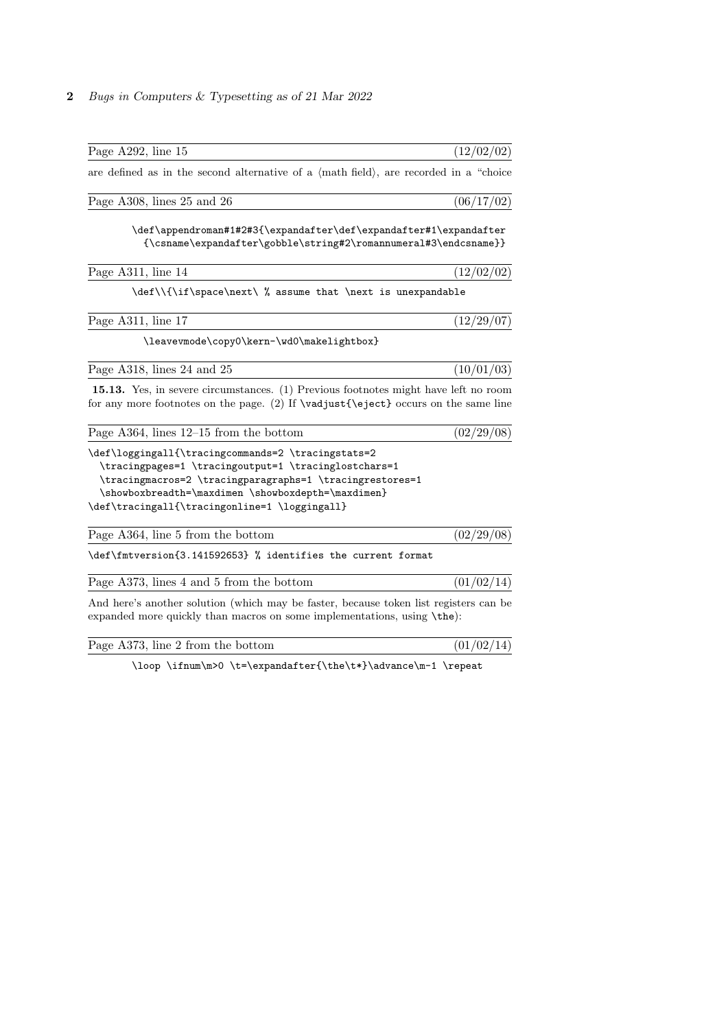| Page A292, line 15                                                                                                                                                                                                                                                            | (12/02/02) |
|-------------------------------------------------------------------------------------------------------------------------------------------------------------------------------------------------------------------------------------------------------------------------------|------------|
| are defined as in the second alternative of a $\langle$ math field $\rangle$ , are recorded in a "choice"                                                                                                                                                                     |            |
| Page A308, lines 25 and 26                                                                                                                                                                                                                                                    | (06/17/02) |
| \def\appendroman#1#2#3{\expandafter\def\expandafter#1\expandafter<br>${\csc}$ / ${\csc}$ and ${\csc}$ ${\csc}$ ${\csc}$ ${\csc}$ ${\csc}$ ${\csc}$                                                                                                                            |            |
| Page A311, line 14                                                                                                                                                                                                                                                            | (12/02/02) |
| \def\\{\if\space\next\ % assume that \next is unexpandable                                                                                                                                                                                                                    |            |
| Page A311, line 17                                                                                                                                                                                                                                                            | (12/29/07) |
| \leavevmode\copy0\kern-\wd0\makelightbox}                                                                                                                                                                                                                                     |            |
| Page A318, lines 24 and 25                                                                                                                                                                                                                                                    | (10/01/03) |
| <b>15.13.</b> Yes, in severe circumstances. (1) Previous footnotes might have left no room<br>for any more footnotes on the page. (2) If $\varepsilon$ \vadjust{\eject} occurs on the same line                                                                               |            |
| Page A364, lines $12-15$ from the bottom                                                                                                                                                                                                                                      | (02/29/08) |
| \def\loggingall{\tracingcommands=2 \tracingstats=2<br>\tracingpages=1 \tracingoutput=1 \tracinglostchars=1<br>\tracingmacros=2 \tracingparagraphs=1 \tracingrestores=1<br>\showboxbreadth=\maxdimen \showboxdepth=\maxdimen}<br>\def\tracingall{\tracingonline=1 \loggingall} |            |
| Page A364, line 5 from the bottom                                                                                                                                                                                                                                             | (02/29/08) |

\def\fmtversion{3.141592653} % identifies the current format

Page A373, lines 4 and 5 from the bottom  $(01/02/14)$ 

And here's another solution (which may be faster, because token list registers can be expanded more quickly than macros on some implementations, using \the):

| Page A373, line 2 from the bottom |  | (01/02/14) |  |  |
|-----------------------------------|--|------------|--|--|
|-----------------------------------|--|------------|--|--|

\loop \ifnum\m>0 \t=\expandafter{\the\t\*}\advance\m-1 \repeat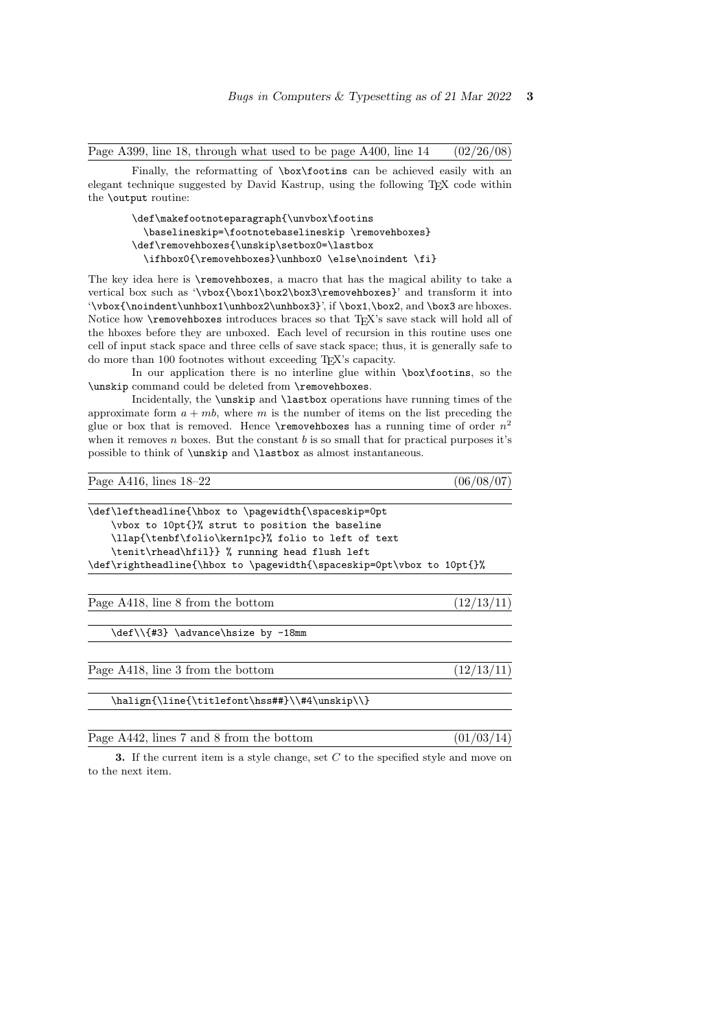Page A399, line 18, through what used to be page A400, line  $14 \qquad (02/26/08)$ 

Finally, the reformatting of \box\footins can be achieved easily with an elegant technique suggested by David Kastrup, using the following TEX code within the \output routine:

```
\def\makefootnoteparagraph{\unvbox\footins
  \baselineskip=\footnotebaselineskip \removehboxes}
\def\removehboxes{\unskip\setbox0=\lastbox
  \label{lem:main} $$\ifhbox0{\rmowehboxes}\unhbox0 \else $x_0$ \in \rel{a \ref} $$
```
The key idea here is \removehboxes, a macro that has the magical ability to take a vertical box such as '\vbox{\box1\box2\box3\removehboxes}' and transform it into '\vbox{\noindent\unhbox1\unhbox2\unhbox3}', if \box1,\box2, and \box3 are hboxes. Notice how **\removehboxes** introduces braces so that TFX's save stack will hold all of the hboxes before they are unboxed. Each level of recursion in this routine uses one cell of input stack space and three cells of save stack space; thus, it is generally safe to do more than 100 footnotes without exceeding TEX's capacity.

In our application there is no interline glue within \box\footins, so the \unskip command could be deleted from \removehboxes.

Incidentally, the \unskip and \lastbox operations have running times of the approximate form  $a + mb$ , where m is the number of items on the list preceding the glue or box that is removed. Hence  $\mathcal X$  removehboxes has a running time of order  $n^2$ when it removes  $n$  boxes. But the constant  $b$  is so small that for practical purposes it's possible to think of \unskip and \lastbox as almost instantaneous.

| Page A416, lines $18-22$ | (06/08/07) |
|--------------------------|------------|
|                          |            |

| \def\leftheadline{\hbox to \pagewidth{\spaceskip=0pt                  |  |  |  |
|-----------------------------------------------------------------------|--|--|--|
| \vbox to 10pt{}% strut to position the baseline                       |  |  |  |
| \llap{\tenbf\folio\kern1pc}% folio to left of text                    |  |  |  |
| \tenit\rhead\hfil}} % running head flush left                         |  |  |  |
| \def\rightheadline{\hbox to \pagewidth{\spaceskip=0pt\vbox to 10pt{}% |  |  |  |
|                                                                       |  |  |  |
| Page A418, line 8 from the bottom<br>(12/13)                          |  |  |  |
|                                                                       |  |  |  |
| \def\\{#3} \advance\hsize by -18mm                                    |  |  |  |
|                                                                       |  |  |  |
| Page A418, line 3 from the bottom<br>(12/13)                          |  |  |  |
|                                                                       |  |  |  |
| \halign{\line{\titlefont\hss##}\\#4\unskip\\}                         |  |  |  |

Page A442, lines 7 and 8 from the bottom  $(01/03/14)$ 

3. If the current item is a style change, set  $C$  to the specified style and move on to the next item.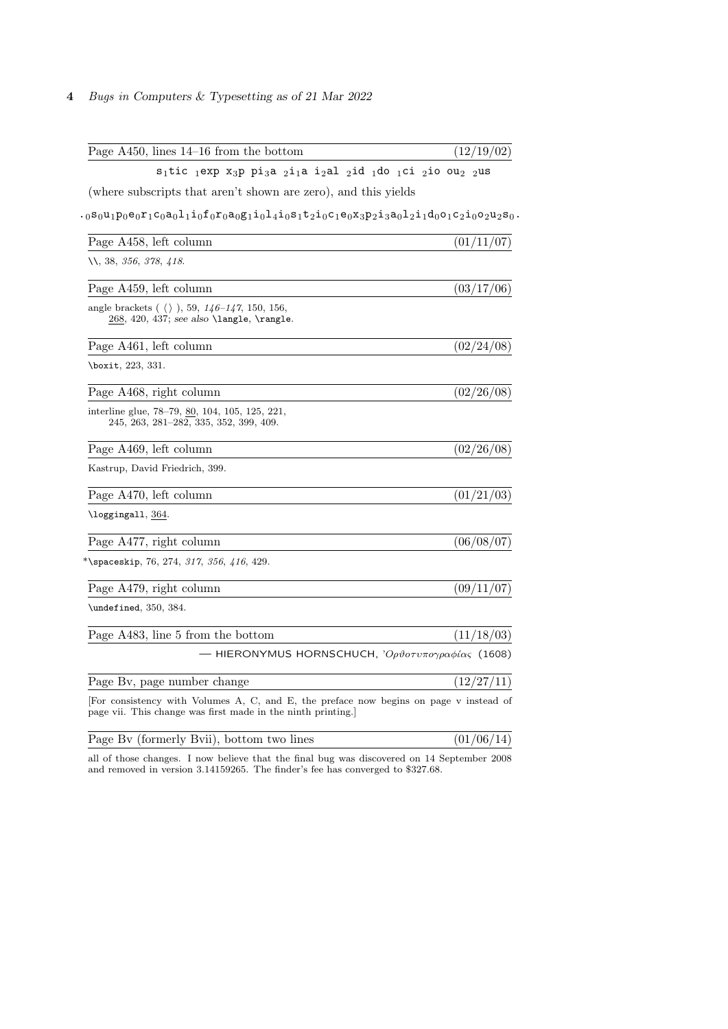| Page $A450$ , lines $14-16$ from the bottom                                                                                                                               | (12/19/02) |
|---------------------------------------------------------------------------------------------------------------------------------------------------------------------------|------------|
| $s_1$ tic 1exp x <sub>3</sub> p pi <sub>3</sub> a <sub>2</sub> i <sub>1</sub> a i <sub>2</sub> al <sub>2</sub> id <sub>1</sub> do 1ci <sub>2</sub> io ou <sub>2</sub> 2us |            |
| (where subscripts that aren't shown are zero), and this yields                                                                                                            |            |
| $\begin{smallmatrix}1.080u_1p_0e_0r_1c_0a_0l_1i_0f_0r_0a_0g_1i_0l_4i_0s_1t_2i_0c_1e_0x_3p_2i_3a_0l_2i_1d_0o_1c_2i_0c_2u_2s_0. \end{smallmatrix}$                          |            |
| Page A458, left column                                                                                                                                                    | (01/11/07) |
| <i>\\, 38, 356, 378, 418.</i>                                                                                                                                             |            |
| Page A459, left column                                                                                                                                                    | (03/17/06) |
| angle brackets ( $\langle \rangle$ ), 59, 146–147, 150, 156,<br>$268, 420, 437; see also \langle \rangle, \langle \rangle.$                                               |            |
| Page A461, left column                                                                                                                                                    | (02/24/08) |
| \boxit, 223, 331.                                                                                                                                                         |            |
| Page A468, right column                                                                                                                                                   | (02/26/08) |
| interline glue, 78–79, <u>80</u> , 104, 105, 125, 221,<br>245, 263, 281–282, 335, 352, 399, 409.                                                                          |            |
| Page A469, left column                                                                                                                                                    | (02/26/08) |
| Kastrup, David Friedrich, 399.                                                                                                                                            |            |
| Page A470, left column                                                                                                                                                    | (01/21/03) |
| \loggingall, 364.                                                                                                                                                         |            |
| Page A477, right column                                                                                                                                                   | (06/08/07) |
| *\spaceskip, 76, 274, 317, 356, 416, 429.                                                                                                                                 |            |
| Page A479, right column                                                                                                                                                   | (09/11/07) |
| \undefined, 350, 384.                                                                                                                                                     |            |
| Page A483, line 5 from the bottom                                                                                                                                         | (11/18/03) |
| - HIERONYMUS HORNSCHUCH, 'Ορθοτυπογραφίας (1608)                                                                                                                          |            |
| Page By, page number change                                                                                                                                               | (12/27/11) |
| For consistency with Volumes A, C, and E, the preface now begins on page v instead of<br>page vii. This change was first made in the ninth printing.                      |            |

| Page By (formerly Byii), bottom two lines | (01/06/14) |
|-------------------------------------------|------------|
|                                           |            |

all of those changes. I now believe that the final bug was discovered on 14 September 2008 and removed in version 3.14159265. The finder's fee has converged to \$327.68.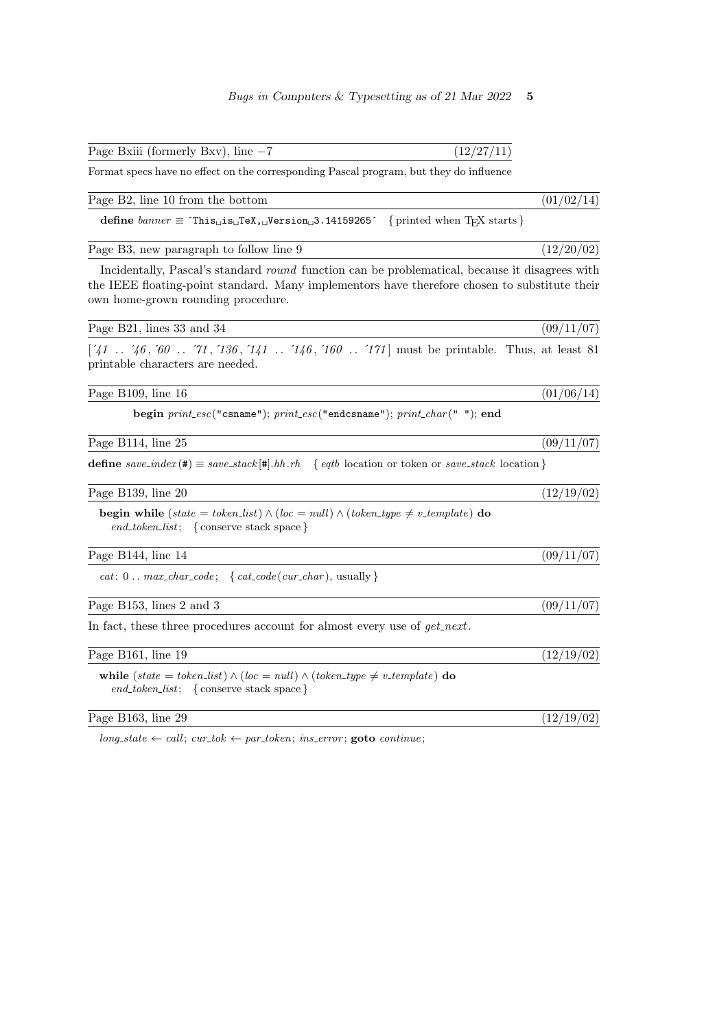Page Bxiii (formerly Bxv), line  $-7$  (12/27/11)

Format specs have no effect on the corresponding Pascal program, but they do influence

Page B2, line 10 from the bottom (01/02/14)

define banner ≡ ´This is TeX, Version 3.14159265´ { printed when TEX starts }

Page B3, new paragraph to follow line 9  $(12/20/02)$ 

Incidentally, Pascal's standard round function can be problematical, because it disagrees with the IEEE floating-point standard. Many implementors have therefore chosen to substitute their own home-grown rounding procedure.

Page B21, lines 33 and 34 (09/11/07)

 $[41 \tcdot 46, 60 \tcdot 71, 136, 141 \tcdot 146, 160 \tcdot 171]$  must be printable. Thus, at least 81 printable characters are needed.

Page B109, line 16  $(01/06/14)$ 

begin  $print\_esc("csname"); print\_esc("endcsname"); print\_char(""); end$ 

Page B114, line 25  $(09/11/07)$ 

define  $save\_index$  (#)  $\equiv save\_stack$  [#].hh.rh { eqtb location or token or save\_stack location }

Page B139, line 20  $(12/19/02)$ 

begin while (state = token\_list)  $\wedge$  (loc = null)  $\wedge$  (token\_type  $\neq v$ \_template) do end\_token\_list; { conserve stack space }

Page B144, line 14  $(09/11/07)$ 

cat:  $0 \ldots max_{char\_code}$ ; {  $cat\_code(cur_{char})$ , usually }

Page B153, lines 2 and 3 (09/11/07)

In fact, these three procedures account for almost every use of  $get\_next$ .

Page B161, line 19 (12/19/02) while (state = token\_list)  $\wedge$  (loc = null)  $\wedge$  (token\_type  $\neq v$ \_template) do  $end\_token\_list; \{ \text{conserve stack space} \}$ Page B163, line 29 (12/19/02)

 $\textit{long-state} \gets \textit{call}; \ \textit{cur\_tok} \gets \textit{par\_token}; \ \textit{ins\_error}; \ \textit{goto} \ \textit{continue};$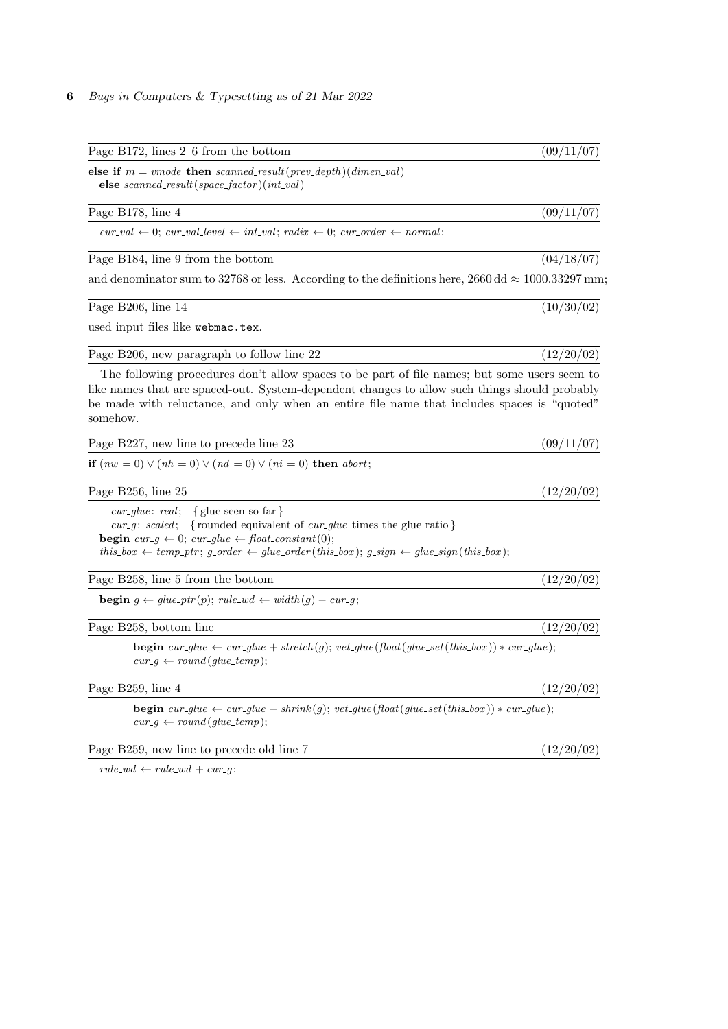| Page B172, lines $2-6$ from the bottom                                                                                                                                                                                                                                                                                                  | (09/11/07) |
|-----------------------------------------------------------------------------------------------------------------------------------------------------------------------------------------------------------------------------------------------------------------------------------------------------------------------------------------|------------|
| else if $m =$ vmode then scanned_result(prev_depth)(dimen_val)<br>else scanned_result(space_factor)(int_val)                                                                                                                                                                                                                            |            |
| Page B178, line 4                                                                                                                                                                                                                                                                                                                       | (09/11/07) |
| $cur\_val \leftarrow 0$ ; $cur\_val\_level \leftarrow int\_val$ ; $radix \leftarrow 0$ ; $cur\_order \leftarrow normal$ ;                                                                                                                                                                                                               |            |
| Page B184, line 9 from the bottom                                                                                                                                                                                                                                                                                                       | (04/18/07) |
| and denominator sum to 32768 or less. According to the definitions here, 2660 dd $\approx 1000.33297$ mm;                                                                                                                                                                                                                               |            |
| Page B206, line 14                                                                                                                                                                                                                                                                                                                      | (10/30/02) |
| used input files like webmac.tex.                                                                                                                                                                                                                                                                                                       |            |
| Page B206, new paragraph to follow line 22                                                                                                                                                                                                                                                                                              | (12/20/02) |
| The following procedures don't allow spaces to be part of file names; but some users seem to<br>like names that are spaced-out. System-dependent changes to allow such things should probably<br>be made with reluctance, and only when an entire file name that includes spaces is "quoted"<br>somehow.                                |            |
| Page B227, new line to precede line 23                                                                                                                                                                                                                                                                                                  | (09/11/07) |
| <b>if</b> $(nw = 0) \lor (nh = 0) \lor (nd = 0) \lor (ni = 0)$ <b>then</b> <i>abort</i> ;                                                                                                                                                                                                                                               |            |
| Page B256, line 25                                                                                                                                                                                                                                                                                                                      | (12/20/02) |
| <i>cur_glue: real</i> ; { glue seen so far }<br>cur_g: scaled; {rounded equivalent of cur_glue times the glue ratio}<br><b>begin</b> $cur\_g \leftarrow 0$ ; $cur\_glue \leftarrow float\_constant(0)$ ;<br>this_box $\leftarrow temp\_ptr$ ; g_order $\leftarrow glue\_order(this\_box)$ ; g_sign $\leftarrow glue\_sign(this\_box)$ ; |            |
| Page B258, line 5 from the bottom                                                                                                                                                                                                                                                                                                       | (12/20/02) |
| <b>begin</b> $g \leftarrow glue\_ptr(p); rule\_wd \leftarrow width(g) - cur\_g;$                                                                                                                                                                                                                                                        |            |
| Page B258, bottom line                                                                                                                                                                                                                                                                                                                  | (12/20/02) |
| <b>begin</b> $cur\_glue \leftarrow cur\_glue + stretch(g); vet\_glue (float(glue\_set(this\_box)) * cur\_glue);$<br>$cur\_g \leftarrow round(glue\_temp);$                                                                                                                                                                              |            |
| Page B259, line 4                                                                                                                                                                                                                                                                                                                       | (12/20/02) |
| <b>begin</b> $cur\_glue \leftarrow cur\_glue - shrink(g); vet\_glue(float(glue\_set(this\_box)) * cur\_glue);$<br>$cur\_g \leftarrow round(glue\_temp);$                                                                                                                                                                                |            |
| Page B259, new line to precede old line 7                                                                                                                                                                                                                                                                                               | (12/20/02) |

 $rule\_wd \leftarrow rule\_wd + cur\_g$ ;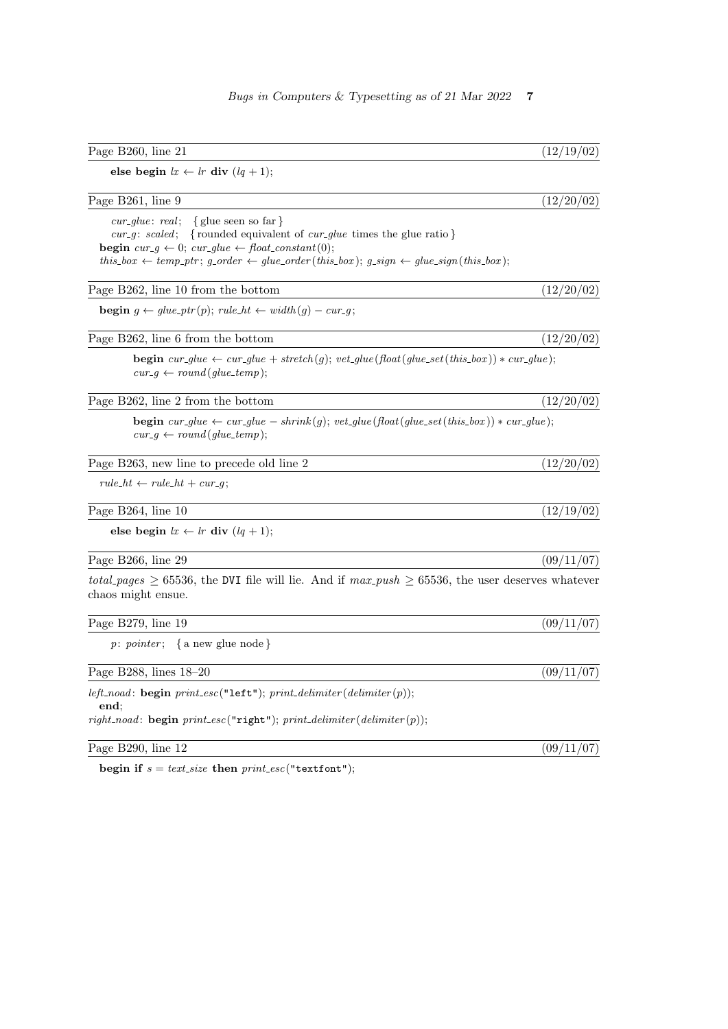| Page B260, line 21                                                                                                                                                                                                                                                                                                                                  | (12/19/02) |
|-----------------------------------------------------------------------------------------------------------------------------------------------------------------------------------------------------------------------------------------------------------------------------------------------------------------------------------------------------|------------|
| else begin $lx \leftarrow lr$ div $(lq + 1);$                                                                                                                                                                                                                                                                                                       |            |
| Page B261, line 9                                                                                                                                                                                                                                                                                                                                   | (12/20/02) |
| $cur\_glue: real;$<br>$\{$ glue seen so far $\}$<br>{rounded equivalent of $cur\_glue$ times the glue ratio}<br>$cur_q: scaled;$<br><b>begin</b> $cur\_g \leftarrow 0$ ; $cur\_glue \leftarrow float\_constant(0)$ ;<br>this_box $\leftarrow temp\_ptr$ ; g_order $\leftarrow glue\_order(this\_box)$ ; g_sign $\leftarrow glue\_sign(this\_box)$ ; |            |
| Page B262, line 10 from the bottom                                                                                                                                                                                                                                                                                                                  | (12/20/02) |
| <b>begin</b> $g \leftarrow glue\_ptr(p)$ ; $rule\_ht \leftarrow width(g) - cur\_g$ ;                                                                                                                                                                                                                                                                |            |
| Page B262, line 6 from the bottom                                                                                                                                                                                                                                                                                                                   | (12/20/02) |
| <b>begin</b> $cur\_glue \leftarrow cur\_glue + stretch(g); vet\_glue(float(glue\_set(this\_box)) * cur\_glue);$<br>$cur_q \leftarrow round(glue_temp);$                                                                                                                                                                                             |            |
| Page B262, line 2 from the bottom                                                                                                                                                                                                                                                                                                                   | (12/20/02) |
| <b>begin</b> $cur\_glue \leftarrow cur\_glue - shrink(g); vet\_glue (float(glue\_set(this\_box)) * cur\_glue);$<br>$cur\_q \leftarrow round(glue\_temp);$                                                                                                                                                                                           |            |
| Page B263, new line to precede old line 2                                                                                                                                                                                                                                                                                                           | (12/20/02) |
| $rule\_ht \leftarrow rule\_ht + cur\_q;$                                                                                                                                                                                                                                                                                                            |            |
| Page B264, line 10                                                                                                                                                                                                                                                                                                                                  | (12/19/02) |
| else begin $lx \leftarrow lr$ div $(lq + 1)$ ;                                                                                                                                                                                                                                                                                                      |            |
| Page B266, line 29                                                                                                                                                                                                                                                                                                                                  | (09/11/07) |
| <i>total-pages</i> $\geq$ 65536, the DVI file will lie. And if $max\_push \geq 65536$ , the user deserves whatever<br>chaos might ensue.                                                                                                                                                                                                            |            |
| Page B279, line 19                                                                                                                                                                                                                                                                                                                                  | (09/11/07) |
| $p: pointer; \{ a new glue node \}$                                                                                                                                                                                                                                                                                                                 |            |
| Page B288, lines 18-20                                                                                                                                                                                                                                                                                                                              | (09/11/07) |
| $left\_nod:$ begin $print\_esc("left");$ $print\_delimiter(delimiter(p));$<br>end:                                                                                                                                                                                                                                                                  |            |
| $right\_nod$ : begin $print\_esc("right"); print\_delimiter(delimiter(p));$                                                                                                                                                                                                                                                                         |            |
| Page B290, line 12                                                                                                                                                                                                                                                                                                                                  | (09/11/07) |

begin if  $s = text\_size$  then  $print\_esc("textfont");$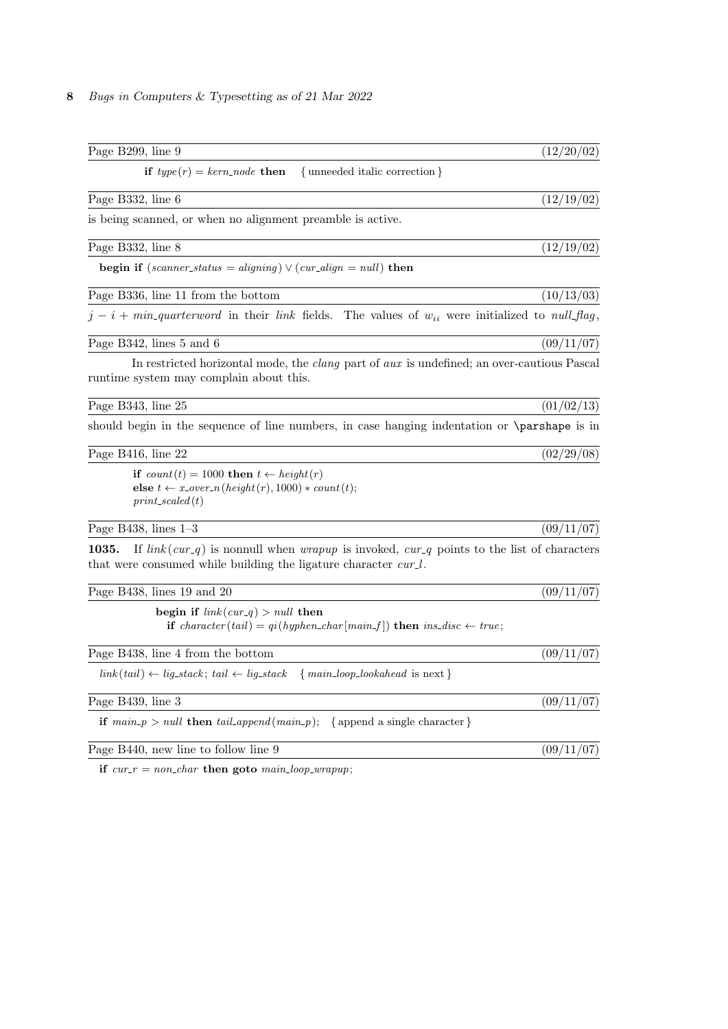| Page B299, line 9                                                                                                                                                               | (12/20/02) |
|---------------------------------------------------------------------------------------------------------------------------------------------------------------------------------|------------|
| if $type(r) = kern-node$ then<br>{unneeded italic correction}                                                                                                                   |            |
| Page B332, line 6                                                                                                                                                               | (12/19/02) |
| is being scanned, or when no alignment preamble is active.                                                                                                                      |            |
| Page B332, line 8                                                                                                                                                               | (12/19/02) |
| begin if $(scanner\_status = aligning) \vee (cur\_align = null)$ then                                                                                                           |            |
| Page B336, line 11 from the bottom                                                                                                                                              | (10/13/03) |
| $j - i + min\_quarter word$ in their link fields. The values of $w_{ii}$ were initialized to null flag,                                                                         |            |
| Page B342, lines 5 and 6                                                                                                                                                        | (09/11/07) |
| In restricted horizontal mode, the <i>clang</i> part of <i>aux</i> is undefined; an over-cautious Pascal<br>runtime system may complain about this.                             |            |
| Page B343, line 25                                                                                                                                                              | (01/02/13) |
| should begin in the sequence of line numbers, in case hanging indentation or <b>\parshape</b> is in                                                                             |            |
| Page B416, line 22                                                                                                                                                              | (02/29/08) |
| if $count(t) = 1000$ then $t \leftarrow height(r)$<br>else $t \leftarrow x\_over\_n(height(r), 1000) * count(t);$<br>$print\_scaled(t)$                                         |            |
| Page B438, lines $1-3$                                                                                                                                                          | (09/11/07) |
| If $link(cur_q)$ is nonnull when <i>wrapup</i> is invoked, $cur_q$ points to the list of characters<br>1035.<br>that were consumed while building the ligature character cur.l. |            |
| Page B438, lines 19 and 20                                                                                                                                                      | (09/11/07) |
| begin if $link(cur_q) > null$ then<br>if character (tail) = $qi(hyphen\_char[main\_f])$ then $ins\_disc \leftarrow true;$                                                       |            |
| Page B438, line 4 from the bottom                                                                                                                                               | (09/11/07) |
| $link(tail) \leftarrow lig\_stack; tail \leftarrow lig\_stack \{main\_loop\_look ahead \text{ is next}\}\$                                                                      |            |
| Page B439, line 3                                                                                                                                                               | (09/11/07) |
| <b>if</b> $main\_p > null$ then $tail\_append(maxin\_p)$ ; {append a single character}                                                                                          |            |
| Page B440, new line to follow line 9                                                                                                                                            | (09/11/07) |
|                                                                                                                                                                                 |            |

if  $cur_r = non_{char}$  then goto  $main_{loop\_wrapup}$ ;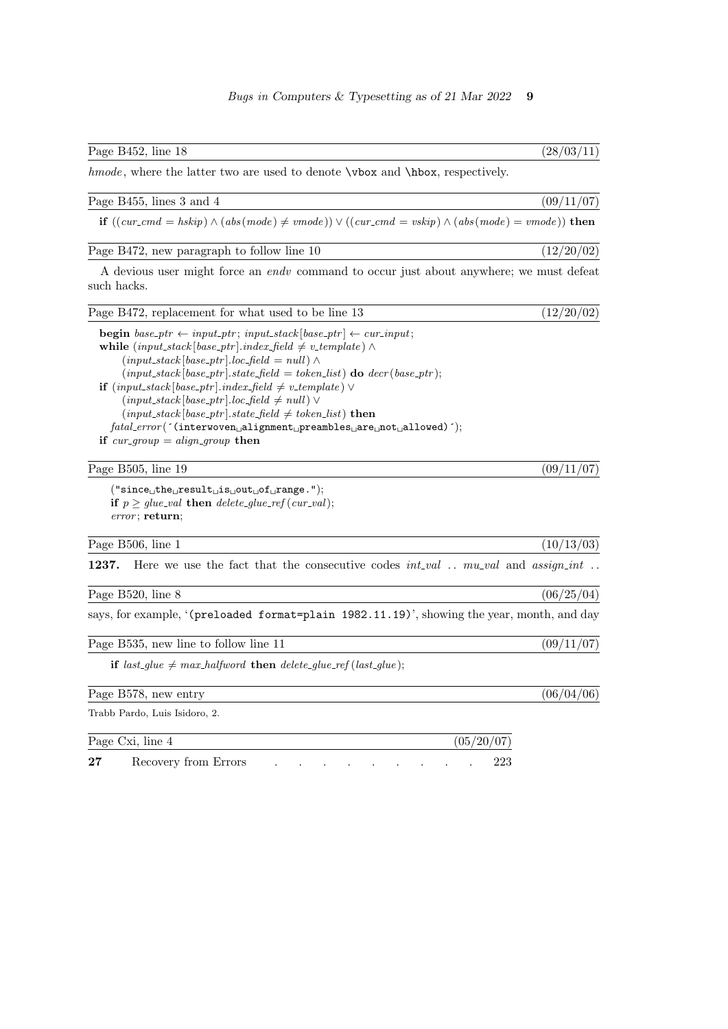| Page B452, line 18                                                                                                                                                                                                                                                                                                                                                                                                                                                                                                                                                                                                                                                              | (28/03/11) |
|---------------------------------------------------------------------------------------------------------------------------------------------------------------------------------------------------------------------------------------------------------------------------------------------------------------------------------------------------------------------------------------------------------------------------------------------------------------------------------------------------------------------------------------------------------------------------------------------------------------------------------------------------------------------------------|------------|
| hmode, where the latter two are used to denote \vbox and \hbox, respectively.                                                                                                                                                                                                                                                                                                                                                                                                                                                                                                                                                                                                   |            |
| Page B455, lines 3 and 4                                                                                                                                                                                                                                                                                                                                                                                                                                                                                                                                                                                                                                                        | (09/11/07) |
| if $((cur\_{end} = hskip) \wedge (abs(model) \neq vmode)) \vee ((cur\_{end} = vskip) \wedge (abs(model) = vmode))$ then                                                                                                                                                                                                                                                                                                                                                                                                                                                                                                                                                         |            |
| Page B472, new paragraph to follow line 10                                                                                                                                                                                                                                                                                                                                                                                                                                                                                                                                                                                                                                      | (12/20/02) |
| A devious user might force an <i>endv</i> command to occur just about anywhere; we must defeat<br>such hacks.                                                                                                                                                                                                                                                                                                                                                                                                                                                                                                                                                                   |            |
| Page B472, replacement for what used to be line 13                                                                                                                                                                                                                                                                                                                                                                                                                                                                                                                                                                                                                              | (12/20/02) |
| <b>begin</b> base_ptr $\leftarrow input\_ptr$ ; input_stack [base_ptr] $\leftarrow cur\_input$ ;<br>while $(input\_stack base\_ptr] .index\_field \neq v\_template) \wedge$<br>$(input\_stack base\_ptr .loc\_field = null) \wedge$<br>$(input\_stack[base\_ptr].state\_field = token\_list)$ do $decr(base\_ptr);$<br><b>if</b> $(\text{input\_stack}[\text{base\_ptr}].\text{index\_field} \neq v\_template) \vee$<br>$(input\_stack base\_ptr .loc\_field \neq null)$<br>$(input\_stack base\_ptr .state\_field \neq token\_list)$ then<br>$\mathit{fatal\_error}(\texttt{'(interwoven\_alignment\_preambles\_are\_not\_allowed)}');$<br>if $cur\_group = align\_group$ then |            |
| Page B505, line 19                                                                                                                                                                                                                                                                                                                                                                                                                                                                                                                                                                                                                                                              | (09/11/07) |
| $("since \cup the \cup result \cup is \cup out \cup of \cup range."),$<br>if $p \geq glue\_val$ then delete_glue_ref (cur_val);<br>$error$ ; return;                                                                                                                                                                                                                                                                                                                                                                                                                                                                                                                            |            |
| Page B506, line 1                                                                                                                                                                                                                                                                                                                                                                                                                                                                                                                                                                                                                                                               | (10/13/03) |
| Here we use the fact that the consecutive codes $int\_val$ $mu\_val$ and $assign\_int$<br>1237.                                                                                                                                                                                                                                                                                                                                                                                                                                                                                                                                                                                 |            |
| Page B520, line 8                                                                                                                                                                                                                                                                                                                                                                                                                                                                                                                                                                                                                                                               | (06/25/04) |
| says, for example, '(preloaded format=plain 1982.11.19)', showing the year, month, and day                                                                                                                                                                                                                                                                                                                                                                                                                                                                                                                                                                                      |            |
| Page B535, new line to follow line 11                                                                                                                                                                                                                                                                                                                                                                                                                                                                                                                                                                                                                                           | (09/11/07) |
| if last_glue $\neq$ max_halfword then delete_glue_ref (last_glue);                                                                                                                                                                                                                                                                                                                                                                                                                                                                                                                                                                                                              |            |
| Page B578, new entry                                                                                                                                                                                                                                                                                                                                                                                                                                                                                                                                                                                                                                                            | (06/04/06) |
| Trabb Pardo, Luis Isidoro, 2.                                                                                                                                                                                                                                                                                                                                                                                                                                                                                                                                                                                                                                                   |            |
| Page Cxi, line 4                                                                                                                                                                                                                                                                                                                                                                                                                                                                                                                                                                                                                                                                | (05/20/07) |

27 Recovery from Errors . . . . . . . . . . . . 223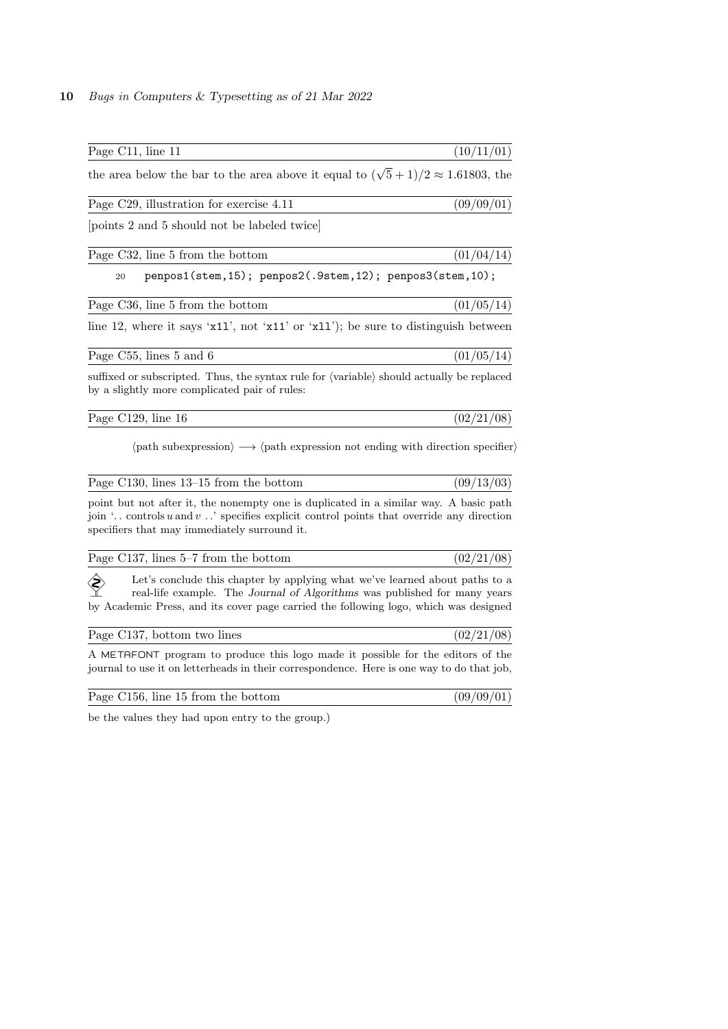| Page C11, line 11                                                                                                                                                                                                                                | (10/11/01) |
|--------------------------------------------------------------------------------------------------------------------------------------------------------------------------------------------------------------------------------------------------|------------|
| the area below the bar to the area above it equal to $(\sqrt{5}+1)/2 \approx 1.61803$ , the                                                                                                                                                      |            |
| Page C29, illustration for exercise 4.11                                                                                                                                                                                                         | (09/09/01) |
| points 2 and 5 should not be labeled twice                                                                                                                                                                                                       |            |
| Page C32, line 5 from the bottom                                                                                                                                                                                                                 | (01/04/14) |
| penpos1(stem, 15); penpos2(.9stem, 12); penpos3(stem, 10);<br>20                                                                                                                                                                                 |            |
| Page C36, line 5 from the bottom                                                                                                                                                                                                                 | (01/05/14) |
| line 12, where it says ' $x11'$ ', not ' $x11'$ ' or ' $x11'$ '); be sure to distinguish between                                                                                                                                                 |            |
| Page C55, lines 5 and 6                                                                                                                                                                                                                          | (01/05/14) |
| suffixed or subscripted. Thus, the syntax rule for (variable) should actually be replaced<br>by a slightly more complicated pair of rules:                                                                                                       |            |
| Page C129, line 16                                                                                                                                                                                                                               | (02/21/08) |
| $\langle$ path subexpression $\rangle \longrightarrow \langle$ path expression not ending with direction specifier)                                                                                                                              |            |
| Page $C130$ , lines $13-15$ from the bottom                                                                                                                                                                                                      | (09/13/03) |
| point but not after it, the nonempty one is duplicated in a similar way. A basic path<br>join ' controls $u$ and $v$ ' specifies explicit control points that override any direction<br>specifiers that may immediately surround it.             |            |
| Page C137, lines 5–7 from the bottom                                                                                                                                                                                                             | (02/21/08) |
| Let's conclude this chapter by applying what we've learned about paths to a<br>real-life example. The Journal of Algorithms was published for many years<br>by Academic Press, and its cover page carried the following logo, which was designed |            |
| Page C137, bottom two lines                                                                                                                                                                                                                      | (02/21/08) |
| A METAFONT program to produce this logo made it possible for the editors of the                                                                                                                                                                  |            |

journal to use it on letterheads in their correspondence. Here is one way to do that job,

| Page C156, line 15 from the bottom | (09/09/01) |  |  |
|------------------------------------|------------|--|--|
|------------------------------------|------------|--|--|

be the values they had upon entry to the group.)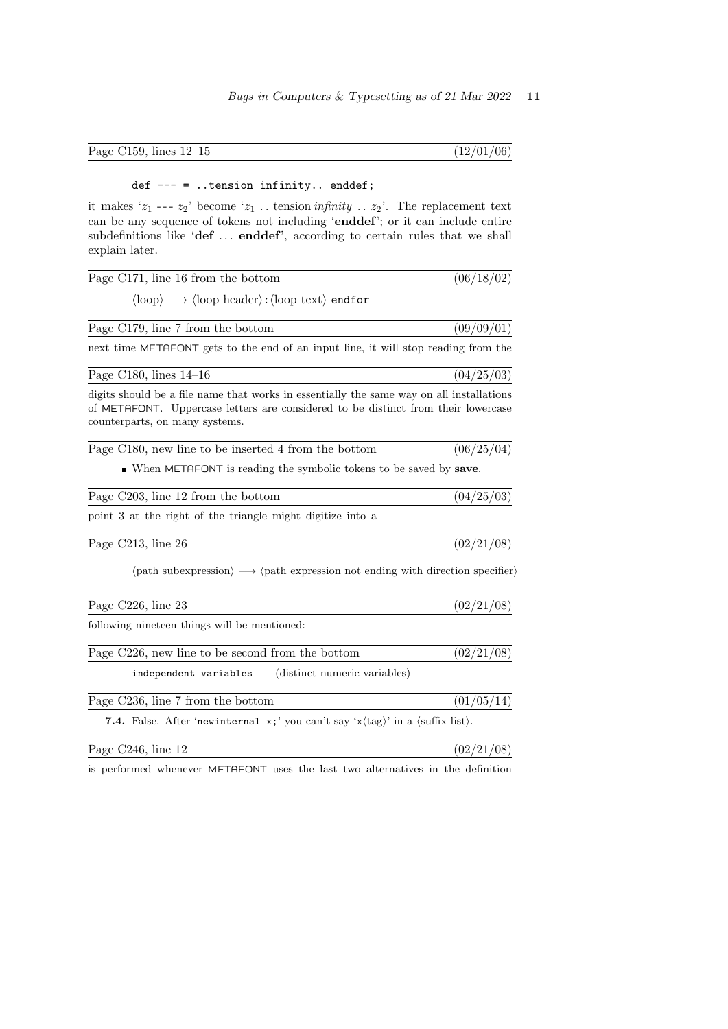| Page C159, lines $12-15$ | (12/01/06) |  |  |  |
|--------------------------|------------|--|--|--|
|--------------------------|------------|--|--|--|

## def --- = ..tension infinity.. enddef;

it makes ' $z_1$  ---  $z_2$ ' become ' $z_1$ ... tension *infinity* ...  $z_2$ '. The replacement text can be any sequence of tokens not including 'enddef'; or it can include entire subdefinitions like 'def ... enddef', according to certain rules that we shall explain later.

| Page C171, line 16 from the bottom                                                                                                                                                                              | (06/18/02) |
|-----------------------------------------------------------------------------------------------------------------------------------------------------------------------------------------------------------------|------------|
| $\langle \text{loop} \rangle \longrightarrow \langle \text{loop header} \rangle : \langle \text{loop text} \rangle$ endfor                                                                                      |            |
| Page C179, line 7 from the bottom                                                                                                                                                                               | (09/09/01) |
| next time METAFONT gets to the end of an input line, it will stop reading from the                                                                                                                              |            |
| Page C180, lines $14-16$                                                                                                                                                                                        | (04/25/03) |
| digits should be a file name that works in essentially the same way on all installations<br>of METAFONT. Uppercase letters are considered to be distinct from their lowercase<br>counterparts, on many systems. |            |
| Page C180, new line to be inserted 4 from the bottom                                                                                                                                                            | (06/25/04) |
| • When METAFONT is reading the symbolic tokens to be saved by save.                                                                                                                                             |            |
| Page C203, line 12 from the bottom                                                                                                                                                                              | (04/25/03) |
| point 3 at the right of the triangle might digitize into a                                                                                                                                                      |            |
| Page C213, line 26                                                                                                                                                                                              | (02/21/08) |
| $\langle \text{path subexpression} \rangle \longrightarrow \langle \text{path expression not ending with direction spectrum} \rangle$                                                                           |            |
| Page C226, line 23                                                                                                                                                                                              | (02/21/08) |
| following nineteen things will be mentioned:                                                                                                                                                                    |            |
| Page C226, new line to be second from the bottom                                                                                                                                                                | (02/21/08) |
| independent variables<br>(distinct numeric variables)                                                                                                                                                           |            |
| Page C236, line 7 from the bottom                                                                                                                                                                               | (01/05/14) |
| <b>7.4.</b> False. After 'new internal $x$ ; 'you can't say ' $x$ (tag)' in a (suffix list).                                                                                                                    |            |
| Page $C246$ , line 12                                                                                                                                                                                           | (02/21/08) |

is performed whenever METAFONT uses the last two alternatives in the definition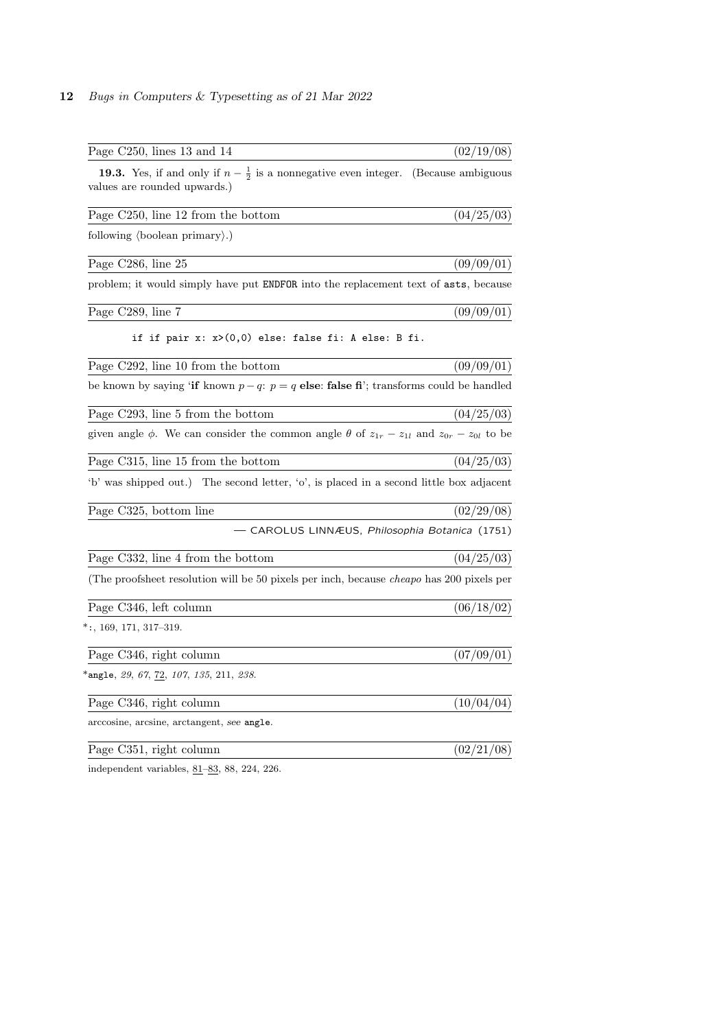| Page C250, lines 13 and 14                                                                                        | (02/19/08)         |
|-------------------------------------------------------------------------------------------------------------------|--------------------|
| <b>19.3.</b> Yes, if and only if $n - \frac{1}{2}$ is a nonnegative even integer.<br>values are rounded upwards.) | (Because ambiguous |
| Page C250, line 12 from the bottom                                                                                | (04/25/03)         |
| following $\langle$ boolean primary $\rangle$ .)                                                                  |                    |
| Page C286, line 25                                                                                                | (09/09/01)         |
| problem; it would simply have put <b>ENDFOR</b> into the replacement text of <b>asts</b> , because                |                    |
| Page C289, line 7                                                                                                 | (09/09/01)         |
| if if pair $x: x>(0,0)$ else: false fi: A else: B fi.                                                             |                    |
| Page C292, line 10 from the bottom                                                                                | (09/09/01)         |
| be known by saying 'if known $p - q$ : $p = q$ else: false fi'; transforms could be handled                       |                    |
| Page C293, line 5 from the bottom                                                                                 | (04/25/03)         |
| given angle $\phi$ . We can consider the common angle $\theta$ of $z_{1r} - z_{1l}$ and $z_{0r} - z_{0l}$ to be   |                    |
| Page C315, line 15 from the bottom                                                                                | (04/25/03)         |
| b' was shipped out.) The second letter, 'o', is placed in a second little box adjacent                            |                    |
| Page C325, bottom line                                                                                            | (02/29/08)         |
| - CAROLUS LINNÆUS, <i>Philosophia Botanica</i> (1751)                                                             |                    |
| Page C332, line 4 from the bottom                                                                                 | (04/25/03)         |
| (The proofsheet resolution will be 50 pixels per inch, because <i>cheapo</i> has 200 pixels per                   |                    |
| Page C346, left column                                                                                            | (06/18/02)         |
| $^*$ :, 169, 171, 317–319.                                                                                        |                    |
| Page C346, right column                                                                                           | (07/09/01)         |
| *angle, <i>29, 67,</i> <u>72,</u> 107, 135, 211, <i>238</i> .                                                     |                    |
| Page C346, right column                                                                                           | (10/04/04)         |
| arccosine, arcsine, arctangent, see angle.                                                                        |                    |
| Page C351, right column                                                                                           | (02/21/08)         |
|                                                                                                                   |                    |

independent variables,  $81-83$ , 88, 224, 226.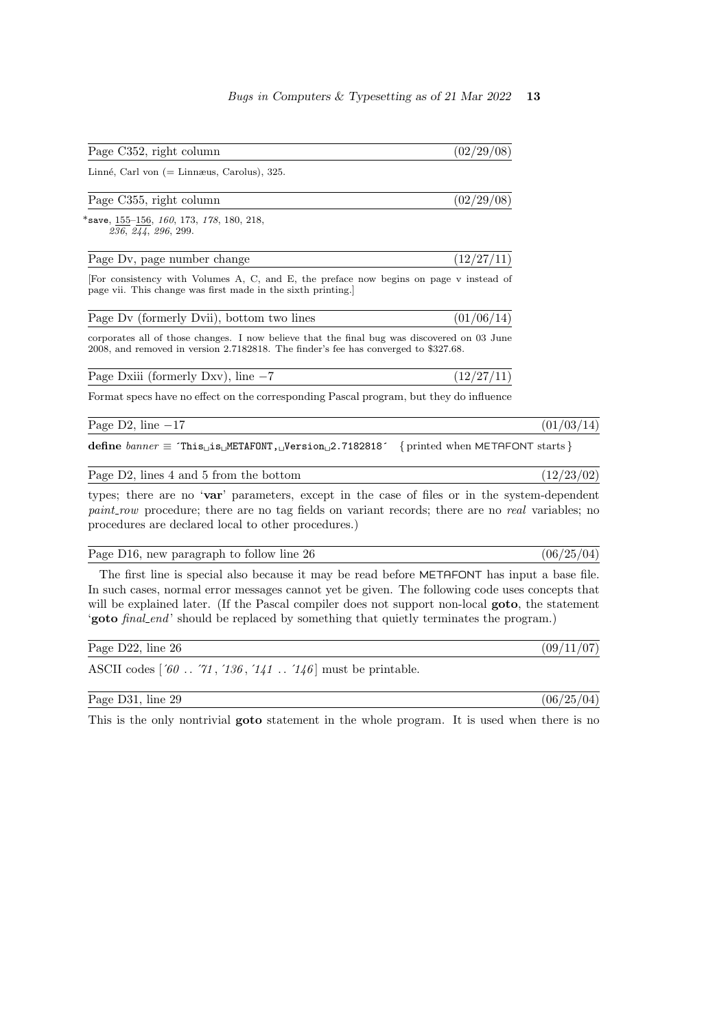Page C352, right column  $(02/29/08)$ 

Linné, Carl von  $(=$  Linnæus, Carolus), 325.

### Page C355, right column  $(02/29/08)$

\*save, 155–156, 160, 173, 178, 180, 218,  $236, 244, 296, 299.$ 

| Page Dv, page number change |  | (12/27/11) |  |  |
|-----------------------------|--|------------|--|--|
|-----------------------------|--|------------|--|--|

[For consistency with Volumes A, C, and E, the preface now begins on page v instead of page vii. This change was first made in the sixth printing.]

| Page Dv (formerly Dvii), bottom two lines | (01/06/14) |
|-------------------------------------------|------------|
|-------------------------------------------|------------|

corporates all of those changes. I now believe that the final bug was discovered on 03 June 2008, and removed in version 2.7182818. The finder's fee has converged to \$327.68.

Page Dxiii (formerly Dxv), line  $-7$  (12/27/11)

Format specs have no effect on the corresponding Pascal program, but they do influence

Page D2, line  $-17$  (01/03/14)

define  $banner \equiv$  This<sub>1</sub>, is METAFONT, Version 2.7182818′ { printed when METAFONT starts }

Page D2, lines 4 and 5 from the bottom  $(12/23/02)$ 

types; there are no 'var' parameters, except in the case of files or in the system-dependent paint row procedure; there are no tag fields on variant records; there are no real variables; no procedures are declared local to other procedures.)

Page D16, new paragraph to follow line 26  $(06/25/04)$ 

The first line is special also because it may be read before METAFONT has input a base file. In such cases, normal error messages cannot yet be given. The following code uses concepts that will be explained later. (If the Pascal compiler does not support non-local **goto**, the statement 'goto *final end*' should be replaced by something that quietly terminates the program.)

Page D22, line 26 (09/11/07)

ASCII codes  $[60 \, . \, 71, 136, 141 \, . \, 146]$  must be printable.

Page D31, line 29 (06/25/04)

This is the only nontrivial goto statement in the whole program. It is used when there is no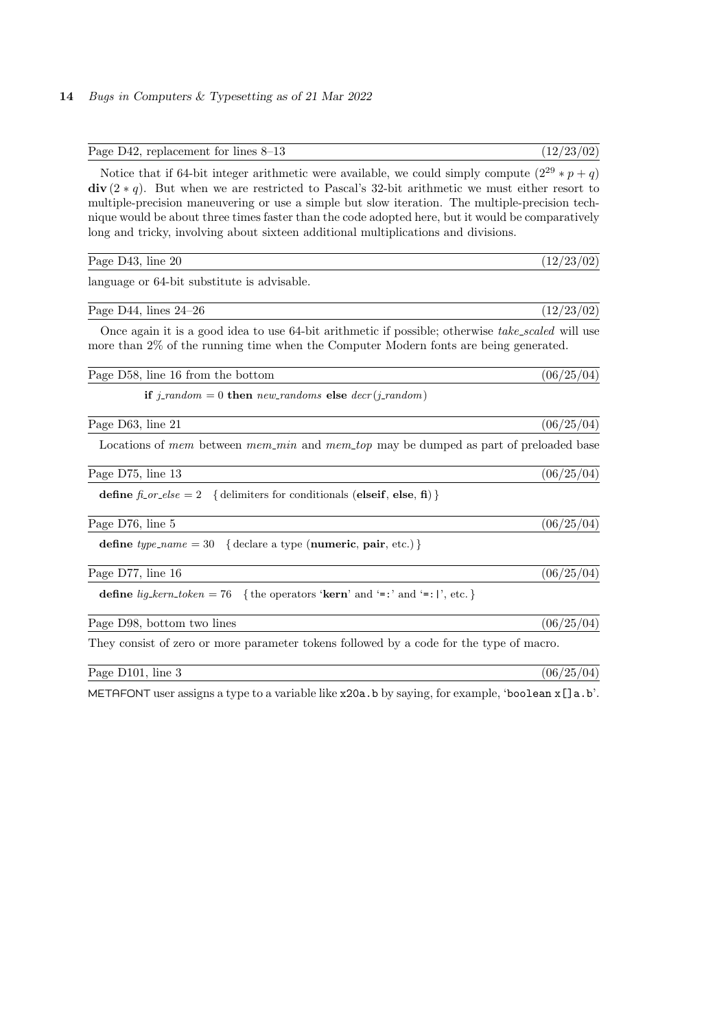| Page D42, replacement for lines 8-13                                                                                                                                                                                                                                                                                                                                                                                                                                                                  | (12/23/02) |
|-------------------------------------------------------------------------------------------------------------------------------------------------------------------------------------------------------------------------------------------------------------------------------------------------------------------------------------------------------------------------------------------------------------------------------------------------------------------------------------------------------|------------|
| Notice that if 64-bit integer arithmetic were available, we could simply compute $(2^{29} * p + q)$<br>$div(2 * q)$ . But when we are restricted to Pascal's 32-bit arithmetic we must either resort to<br>multiple-precision maneuvering or use a simple but slow iteration. The multiple-precision tech-<br>nique would be about three times faster than the code adopted here, but it would be comparatively<br>long and tricky, involving about sixteen additional multiplications and divisions. |            |
| Page D43, line 20                                                                                                                                                                                                                                                                                                                                                                                                                                                                                     | (12/23/02) |
| language or 64-bit substitute is advisable.                                                                                                                                                                                                                                                                                                                                                                                                                                                           |            |
| Page D44, lines $24-26$                                                                                                                                                                                                                                                                                                                                                                                                                                                                               | (12/23/02) |
| Once again it is a good idea to use 64-bit arithmetic if possible; otherwise take_scaled will use<br>more than 2% of the running time when the Computer Modern fonts are being generated.                                                                                                                                                                                                                                                                                                             |            |
| Page D58, line 16 from the bottom                                                                                                                                                                                                                                                                                                                                                                                                                                                                     | (06/25/04) |
| if j_random = 0 then new_randoms else $decr(j.random)$                                                                                                                                                                                                                                                                                                                                                                                                                                                |            |
| Page D63, line 21                                                                                                                                                                                                                                                                                                                                                                                                                                                                                     | (06/25/04) |
| Locations of mem between mem_min and mem_top may be dumped as part of preloaded base                                                                                                                                                                                                                                                                                                                                                                                                                  |            |
| Page D75, line 13                                                                                                                                                                                                                                                                                                                                                                                                                                                                                     | (06/25/04) |
| <b>define</b> $\hat{p}\text{-}or\text{-}else = 2$ { delimiters for conditionals (elseif, else, fi) }                                                                                                                                                                                                                                                                                                                                                                                                  |            |
| Page D76, line 5                                                                                                                                                                                                                                                                                                                                                                                                                                                                                      | (06/25/04) |
| define type_name = 30 { declare a type (numeric, pair, etc.) }                                                                                                                                                                                                                                                                                                                                                                                                                                        |            |
| Page D77, line 16                                                                                                                                                                                                                                                                                                                                                                                                                                                                                     | (06/25/04) |
| define $lig\_{\ell}$ $key$ $\ell$ and $= 76$ {the operators 'kern' and '=:' and '=:', etc.}                                                                                                                                                                                                                                                                                                                                                                                                           |            |
| Page D98, bottom two lines                                                                                                                                                                                                                                                                                                                                                                                                                                                                            | (06/25/04) |
| They consist of zero or more parameter tokens followed by a code for the type of macro.                                                                                                                                                                                                                                                                                                                                                                                                               |            |
| Page D101, line 3                                                                                                                                                                                                                                                                                                                                                                                                                                                                                     | (06/25/04) |
|                                                                                                                                                                                                                                                                                                                                                                                                                                                                                                       |            |

METAFONT user assigns a type to a variable like x20a.b by saying, for example, 'boolean x[]a.b'.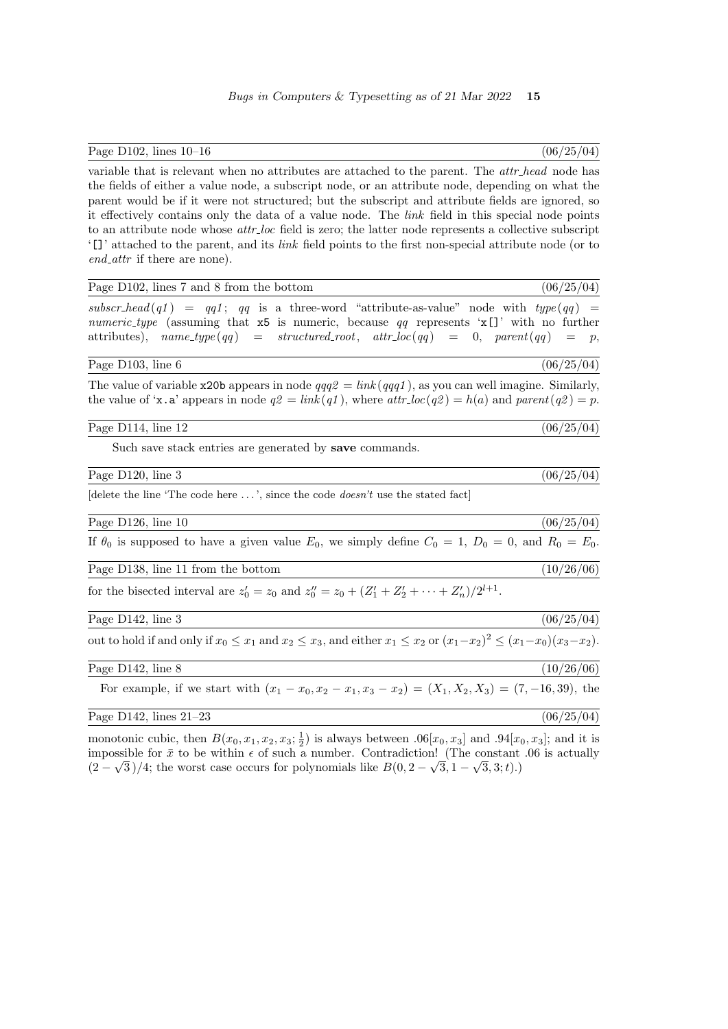Page D102, lines  $10-16$  (06/25/04)

variable that is relevant when no attributes are attached to the parent. The *attr-head* node has the fields of either a value node, a subscript node, or an attribute node, depending on what the parent would be if it were not structured; but the subscript and attribute fields are ignored, so it effectively contains only the data of a value node. The link field in this special node points to an attribute node whose *attr*-loc field is zero; the latter node represents a collective subscript '[]' attached to the parent, and its link field points to the first non-special attribute node (or to end\_attr if there are none).

| Page D102, lines 7 and 8 from the bottom                                                                                                                                                                                                                                            | (06/25/04) |
|-------------------------------------------------------------------------------------------------------------------------------------------------------------------------------------------------------------------------------------------------------------------------------------|------------|
| subscr-head(q1) = qq1; qq is a three-word "attribute-as-value" node with $type(qq)$ =<br><i>numeric_type</i> (assuming that $x5$ is numeric, because qq represents ' $x$ []' with no further<br>attributes), $name\_type(qq) = structured\_root, attr\_loc(qq) = 0, parent(qq) = p$ |            |
| Page D103, line 6                                                                                                                                                                                                                                                                   | (06/25/04) |
| The value of variable x20b appears in node $qqq2 = link(qqq1)$ , as you can well imagine. Similarly,<br>the value of ' <b>x</b> . a' appears in node $q2 = link(q1)$ , where $attr\_loc(q2) = h(a)$ and $parent(q2) = p$ .                                                          |            |
| Page D114, line 12                                                                                                                                                                                                                                                                  | (06/25/04) |
| Such save stack entries are generated by <b>save</b> commands.                                                                                                                                                                                                                      |            |
| Page D120, line 3                                                                                                                                                                                                                                                                   | (06/25/04) |
| delete the line 'The code here $\dots$ ', since the code <i>doesn't</i> use the stated fact                                                                                                                                                                                         |            |
| Page D126, line 10                                                                                                                                                                                                                                                                  | (06/25/04) |
| If $\theta_0$ is supposed to have a given value $E_0$ , we simply define $C_0 = 1$ , $D_0 = 0$ , and $R_0 = E_0$ .                                                                                                                                                                  |            |
| Page D138, line 11 from the bottom                                                                                                                                                                                                                                                  | (10/26/06) |
| for the bisected interval are $z'_0 = z_0$ and $z''_0 = z_0 + (Z'_1 + Z'_2 + \cdots + Z'_n)/2^{l+1}$ .                                                                                                                                                                              |            |
| Page D142, line 3                                                                                                                                                                                                                                                                   | (06/25/04) |
| out to hold if and only if $x_0 \le x_1$ and $x_2 \le x_3$ , and either $x_1 \le x_2$ or $(x_1-x_2)^2 \le (x_1-x_0)(x_3-x_2)$ .                                                                                                                                                     |            |
| Page $D142$ , line 8                                                                                                                                                                                                                                                                | (10/26/06) |
| For example, if we start with $(x_1 - x_0, x_2 - x_1, x_3 - x_2) = (X_1, X_2, X_3) = (7, -16, 39)$ , the                                                                                                                                                                            |            |
| Page D142, lines $21-23$                                                                                                                                                                                                                                                            | (06/25/04) |
| monotonic cubic, then $B(x_2, x_1, x_2, x_3; \frac{1}{2})$ is always between $06[x_2, x_3]$ and $04[x_3, x_3]$ and it is                                                                                                                                                            |            |

monotonic cubic, then  $B(x_0, x_1, x_2, x_3; \frac{1}{2})$  is always between  $.06[x_0, x_3]$  and  $.94[x_0, x_3]$ ; and it is impossible for  $\bar{x}$  to be within  $\epsilon$  of such a number. Contradiction! (The constant .06 is actually  $(2-\sqrt{3})/4$ ; the worst case occurs for polynomials like  $B(0, 2-\sqrt{3}, 1-\sqrt{3}, 3; t)$ .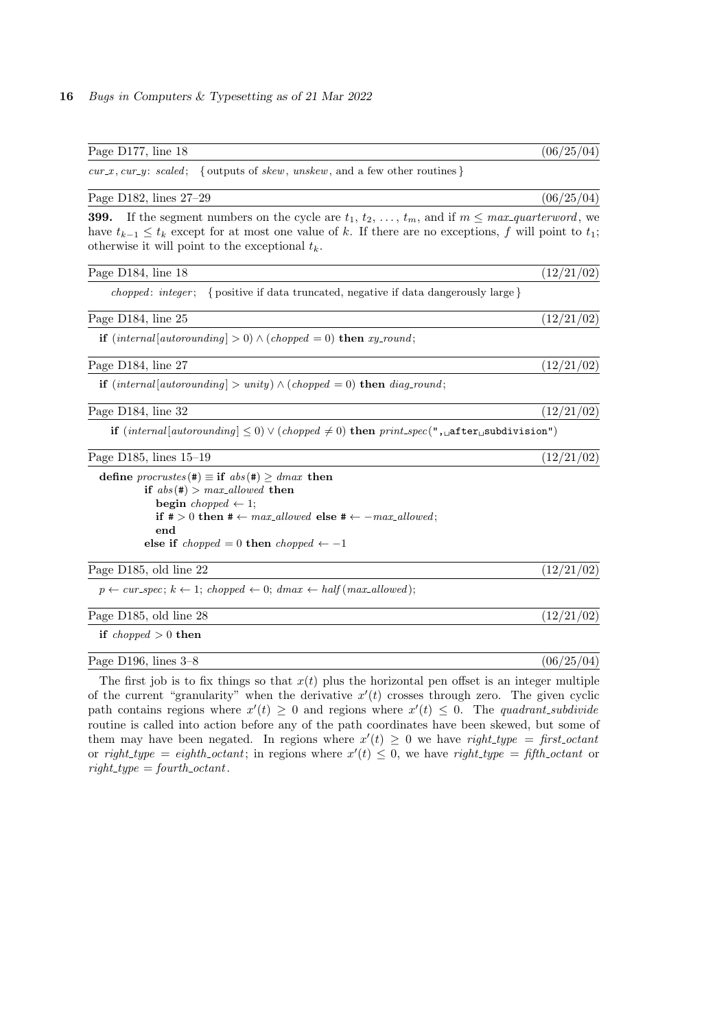| Page D177, line 18                                                                                                                                                                                                                                                                                          | (06/25/04) |
|-------------------------------------------------------------------------------------------------------------------------------------------------------------------------------------------------------------------------------------------------------------------------------------------------------------|------------|
| $cur\_x$ , $cur\_y$ : scaled;<br>{ outputs of <i>skew</i> , <i>unskew</i> , and a few other routines }                                                                                                                                                                                                      |            |
| Page D182, lines 27-29                                                                                                                                                                                                                                                                                      | (06/25/04) |
| 399.<br>If the segment numbers on the cycle are $t_1, t_2, \ldots, t_m$ , and if $m \leq max\_quarterword$ , we<br>have $t_{k-1} \leq t_k$ except for at most one value of k. If there are no exceptions, f will point to $t_1$ ;<br>otherwise it will point to the exceptional $t_k$ .                     |            |
| Page D184, line 18                                                                                                                                                                                                                                                                                          | (12/21/02) |
| chopped: integer; { positive if data truncated, negative if data dangerously large}                                                                                                                                                                                                                         |            |
| Page D184, line 25                                                                                                                                                                                                                                                                                          | (12/21/02) |
| <b>if</b> $(internal [automding] > 0) \wedge (choped = 0)$ <b>then</b> xy-round;                                                                                                                                                                                                                            |            |
| Page D184, line 27                                                                                                                                                                                                                                                                                          | (12/21/02) |
| <b>if</b> $(internal [automding] > unity) \wedge (choped = 0)$ <b>then</b> diag_round;                                                                                                                                                                                                                      |            |
| Page D184, line 32                                                                                                                                                                                                                                                                                          | (12/21/02) |
| <b>if</b> $(internal [automding] \leq 0) \vee (chopped \neq 0)$ then $print\_spec(", _{u}atter_{u}subdivision")$                                                                                                                                                                                            |            |
| Page D185, lines $15-19$                                                                                                                                                                                                                                                                                    | (12/21/02) |
| define procrustes $(\#) \equiv \text{if } abs(\#) \geq dmax$ then<br>if $abs(\#) > max\_allowed$ then<br><b>begin</b> chopped $\leftarrow$ 1;<br>if $\# > 0$ then $\# \leftarrow max\_allowed$ else $\# \leftarrow -max\_allowed;$<br>end<br>else if <i>chopped</i> = 0 then <i>chopped</i> $\leftarrow -1$ |            |
| Page D185, old line 22                                                                                                                                                                                                                                                                                      | (12/21/02) |
| $p \leftarrow cur\_spec; k \leftarrow 1; \text{choppel} \leftarrow 0; \text{dmax} \leftarrow \text{half}(\text{max\_allowed});$                                                                                                                                                                             |            |
| Page D185, old line 28                                                                                                                                                                                                                                                                                      | (12/21/02) |
| if <i>chopped</i> $> 0$ then                                                                                                                                                                                                                                                                                |            |
| Page D196, lines $3-8$                                                                                                                                                                                                                                                                                      | (06/25/04) |
| The first job is to fix things so that $x(t)$ plus the horizontal pen offset is an integer multiple                                                                                                                                                                                                         |            |

of the current "granularity" when the derivative  $x'(t)$  crosses through zero. The given cyclic path contains regions where  $x'(t) \geq 0$  and regions where  $x'(t) \leq 0$ . The quadrant subdivide routine is called into action before any of the path coordinates have been skewed, but some of them may have been negated. In regions where  $x'(t) \geq 0$  we have right-type = first-octant or right-type = eighth-octant; in regions where  $x'(t) \leq 0$ , we have right-type = fifth-octant or  $right_type = fourth\_octant.$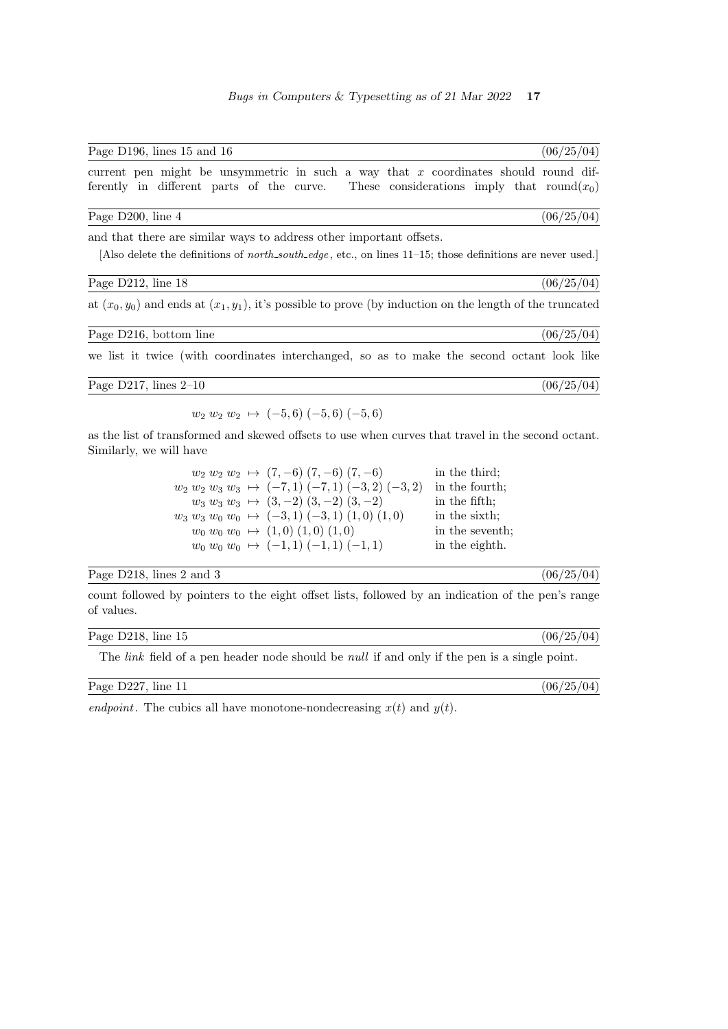| Page D196, lines 15 and 16                                                                                                                                                                 | (06/25/04) |
|--------------------------------------------------------------------------------------------------------------------------------------------------------------------------------------------|------------|
| current pen might be unsymmetric in such a way that x coordinates should round dif-<br>ferently in different parts of the curve. These considerations imply that round $(x_0)$             |            |
| Page D200, line 4                                                                                                                                                                          | (06/25/04) |
| and that there are similar ways to address other important offsets.<br>Also delete the definitions of <i>north_south_edge</i> , etc., on lines $11-15$ ; those definitions are never used. |            |
| Page D212, line 18                                                                                                                                                                         | (06/25/04) |
| at $(x_0, y_0)$ and ends at $(x_1, y_1)$ , it's possible to prove (by induction on the length of the truncated                                                                             |            |
| Page D216, bottom line                                                                                                                                                                     | (06/25/04) |
| we list it twice (with coordinates interchanged, so as to make the second octant look like                                                                                                 |            |
| Page D217, lines $2-10$                                                                                                                                                                    | (06/25/04) |

 $w_2$   $w_2$   $w_2$   $\mapsto$  (-5, 6) (-5, 6) (-5, 6)

as the list of transformed and skewed offsets to use when curves that travel in the second octant. Similarly, we will have

| $w_2 w_2 w_2 \mapsto (7,-6) (7,-6) (7,-6)$              | in the third:   |
|---------------------------------------------------------|-----------------|
| $w_2 w_2 w_3 w_3 \mapsto (-7,1) (-7,1) (-3,2) (-3,2)$   | in the fourth;  |
| $w_3 w_3 w_3 \mapsto (3,-2) (3,-2) (3,-2)$              | in the fifth:   |
| $w_3 w_3 w_0 w_0 \rightarrow (-3,1) (-3,1) (1,0) (1,0)$ | in the sixth;   |
| $w_0$ $w_0$ $w_0 \rightarrow (1,0)$ $(1,0)$ $(1,0)$     | in the seventh; |
| $w_0$ $w_0$ $w_0 \rightarrow (-1,1)$ $(-1,1)$ $(-1,1)$  | in the eighth.  |

## Page D218, lines 2 and 3 (06/25/04)

count followed by pointers to the eight offset lists, followed by an indication of the pen's range of values.

| Page<br>- -<br>$D^{01}$  | (06/25)<br>$^{104}$ |
|--------------------------|---------------------|
| 1)218<br>lıne<br>h<br>ΠĐ |                     |
| .<br>____                | $\sim$              |

The *link* field of a pen header node should be *null* if and only if the pen is a single point.

| Page D227, line 11 |  |
|--------------------|--|
|--------------------|--|

 $(06/25/04)$ 

endpoint. The cubics all have monotone-nondecreasing  $x(t)$  and  $y(t)$ .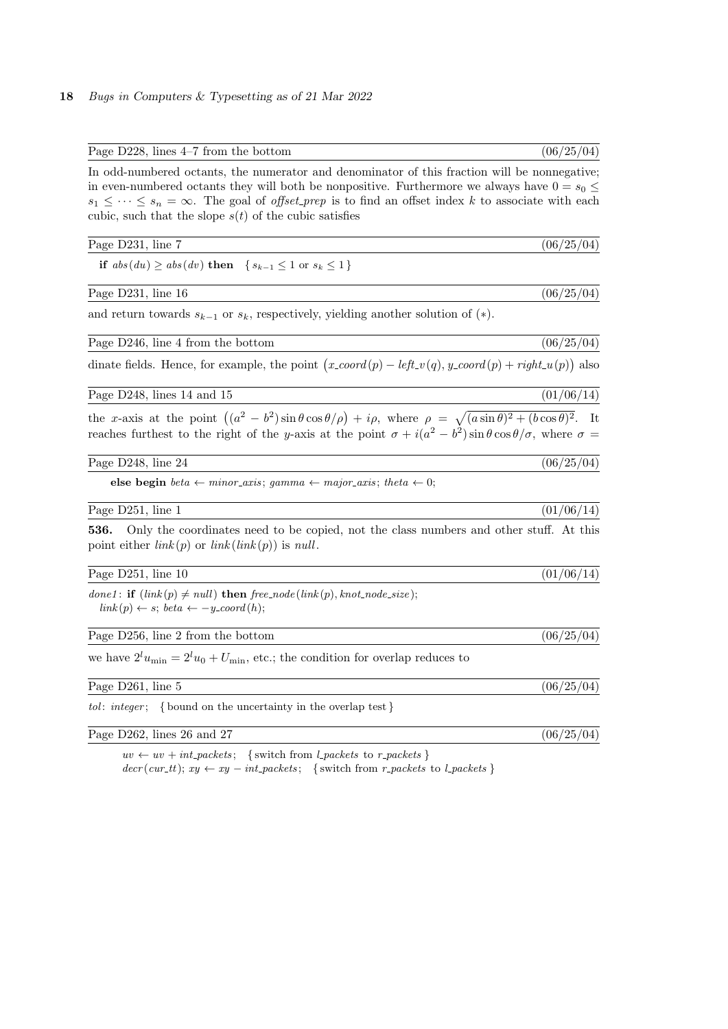| Page $D228$ , lines $4-7$ from the bottom                                                                                                                                                                                                                                                                                                                                                 | (06/25/04) |
|-------------------------------------------------------------------------------------------------------------------------------------------------------------------------------------------------------------------------------------------------------------------------------------------------------------------------------------------------------------------------------------------|------------|
| In odd-numbered octants, the numerator and denominator of this fraction will be nonnegative;<br>in even-numbered octants they will both be nonpositive. Furthermore we always have $0 = s_0 \leq$<br>$s_1 \leq \cdots \leq s_n = \infty$ . The goal of <i>offset_prep</i> is to find an offset index k to associate with each<br>cubic, such that the slope $s(t)$ of the cubic satisfies |            |
| Page D231, line 7                                                                                                                                                                                                                                                                                                                                                                         | (06/25/04) |
| if $abs(du) \geq abs(dv)$ then $\{s_{k-1} \leq 1 \text{ or } s_k \leq 1\}$                                                                                                                                                                                                                                                                                                                |            |
| Page D231, line 16                                                                                                                                                                                                                                                                                                                                                                        | (06/25/04) |
| and return towards $s_{k-1}$ or $s_k$ , respectively, yielding another solution of (*).                                                                                                                                                                                                                                                                                                   |            |
| Page D246, line 4 from the bottom                                                                                                                                                                                                                                                                                                                                                         | (06/25/04) |
| dinate fields. Hence, for example, the point $(x\text{-}coord(p) - left\text{-}v(q), y\text{-}coord(p) + right\text{-}u(p))$ also                                                                                                                                                                                                                                                         |            |
| Page D248, lines 14 and 15                                                                                                                                                                                                                                                                                                                                                                | (01/06/14) |
| the x-axis at the point $((a^2 - b^2)\sin\theta\cos\theta/\rho) + i\rho$ , where $\rho = \sqrt{(a\sin\theta)^2 + (b\cos\theta)^2}$ . It<br>reaches furthest to the right of the y-axis at the point $\sigma + i(a^2 - b^2) \sin \theta \cos \theta / \sigma$ , where $\sigma =$                                                                                                           |            |
| Page D248, line 24                                                                                                                                                                                                                                                                                                                                                                        | (06/25/04) |
| else begin <i>beta</i> $\leftarrow$ minor_axis; gamma $\leftarrow$ major_axis; theta $\leftarrow$ 0;                                                                                                                                                                                                                                                                                      |            |
| Page D251, line 1                                                                                                                                                                                                                                                                                                                                                                         | (01/06/14) |
| 536.<br>Only the coordinates need to be copied, not the class numbers and other stuff. At this<br>point either $link(p)$ or $link(link(p))$ is null.                                                                                                                                                                                                                                      |            |
| Page $D251$ , line 10                                                                                                                                                                                                                                                                                                                                                                     | (01/06/14) |
| done1: if $(link(p) \neq null)$ then free_node(link(p), knot_node_size);<br>$link(p) \leftarrow s; \text{ beta } \leftarrow -y\text{-}coord(h);$                                                                                                                                                                                                                                          |            |
| Page D256, line 2 from the bottom                                                                                                                                                                                                                                                                                                                                                         | (06/25/04) |
| we have $2^l u_{\min} = 2^l u_0 + U_{\min}$ , etc.; the condition for overlap reduces to                                                                                                                                                                                                                                                                                                  |            |
| Page D261, line 5                                                                                                                                                                                                                                                                                                                                                                         | (06/25/04) |
| <i>tol: integer</i> ; {bound on the uncertainty in the overlap test}                                                                                                                                                                                                                                                                                                                      |            |
| Page D262, lines 26 and 27                                                                                                                                                                                                                                                                                                                                                                | (06/25/04) |
| {switch from $l\_packets$ to $r\_packets$ }<br>$uv \leftarrow uv + int\_packets;$                                                                                                                                                                                                                                                                                                         |            |

 $decr(cur_t); xy \leftarrow xy - int_packets;$  { switch from r\_packets to l\_packets }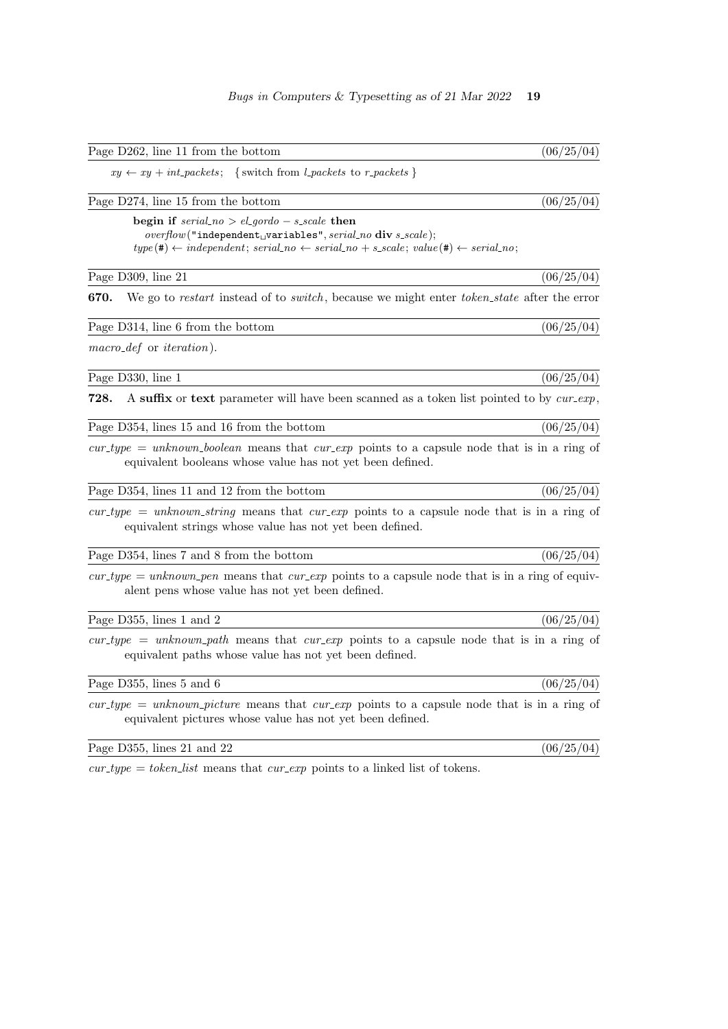| Page D262, line 11 from the bottom                                                                                                                                                                                                                   | (06/25/04) |
|------------------------------------------------------------------------------------------------------------------------------------------------------------------------------------------------------------------------------------------------------|------------|
| $xy \leftarrow xy + int\_packets;$ {switch from <i>l_packets</i> to <i>r_packets</i> }                                                                                                                                                               |            |
| Page D274, line 15 from the bottom                                                                                                                                                                                                                   | (06/25/04) |
| begin if $serial.no > el.gordo - s-scale then$<br>$overflow("independentU variables", serial-no div s-scale);$<br>$type(\texttt{\#}) \leftarrow independent; serial\_no \leftarrow serial\_no + s\_scale; value(\texttt{\#}) \leftarrow serial\_no;$ |            |
| Page D309, line 21                                                                                                                                                                                                                                   | (06/25/04) |
| We go to restart instead of to <i>switch</i> , because we might enter <i>token_state</i> after the error<br>670.                                                                                                                                     |            |
| Page D314, line 6 from the bottom                                                                                                                                                                                                                    | (06/25/04) |
| $macro\_def$ or <i>iteration</i> ).                                                                                                                                                                                                                  |            |
| Page D330, line 1                                                                                                                                                                                                                                    | (06/25/04) |
| A suffix or text parameter will have been scanned as a token list pointed to by cur-exp,<br>728.                                                                                                                                                     |            |
| Page D354, lines 15 and 16 from the bottom                                                                                                                                                                                                           | (06/25/04) |
| $cur_type = unknown\text{boolean}$ means that $cur-exp$ points to a capsule node that is in a ring of<br>equivalent booleans whose value has not yet been defined.                                                                                   |            |
| Page D354, lines 11 and 12 from the bottom                                                                                                                                                                                                           | (06/25/04) |
| $cur_type = unknown-string$ means that $cur-exp$ points to a capsule node that is in a ring of<br>equivalent strings whose value has not yet been defined.                                                                                           |            |
| Page D354, lines 7 and 8 from the bottom                                                                                                                                                                                                             | (06/25/04) |
| $cur_type = unknown\_pen$ means that $cur-exp$ points to a capsule node that is in a ring of equiv-<br>alent pens whose value has not yet been defined.                                                                                              |            |
| Page D355, lines 1 and 2                                                                                                                                                                                                                             | (06/25/04) |
| $cur_type = unknown.path$ means that $cur-exp$ points to a capsule node that is in a ring of<br>equivalent paths whose value has not yet been defined.                                                                                               |            |
| Page D355, lines 5 and 6                                                                                                                                                                                                                             | (06/25/04) |
| $cur_type = unknown_picture$ means that $cur-exp$ points to a capsule node that is in a ring of<br>equivalent pictures whose value has not yet been defined.                                                                                         |            |
| Page D355, lines 21 and 22                                                                                                                                                                                                                           | (06/25/04) |

 $cur\_type = token\_list$  means that  $cur\_exp$  points to a linked list of tokens.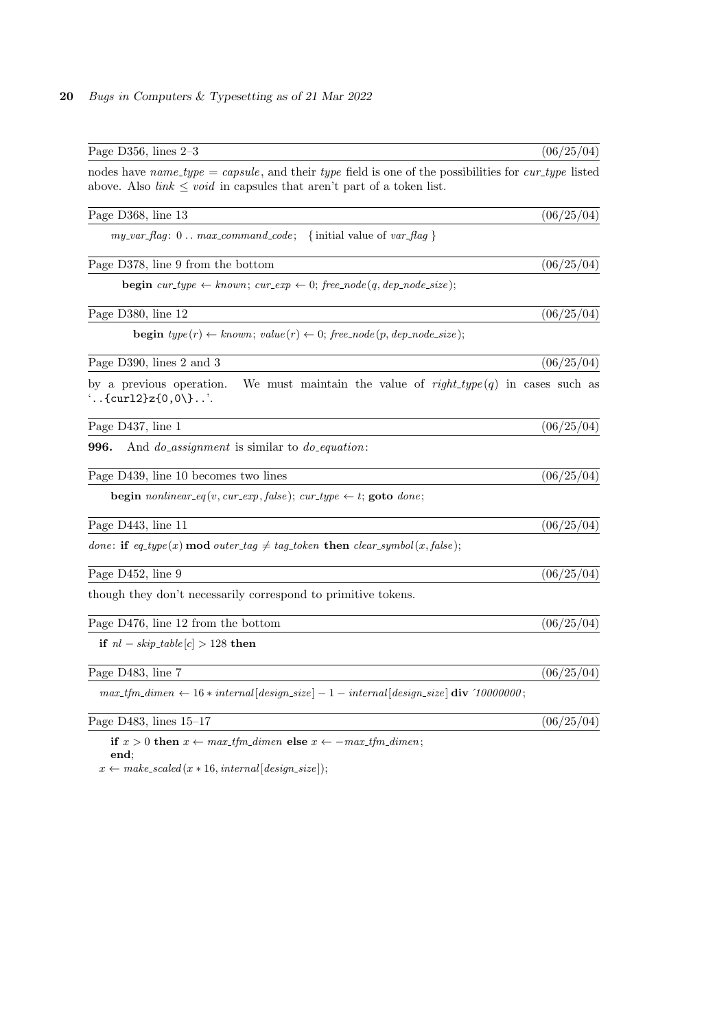| Page D356, lines $2-3$                                                                                                                                                                    | (06/25/04) |
|-------------------------------------------------------------------------------------------------------------------------------------------------------------------------------------------|------------|
| nodes have name_type = capsule, and their type field is one of the possibilities for cur_type listed<br>above. Also <i>link</i> $\leq void$ in capsules that aren't part of a token list. |            |
| Page D368, line 13                                                                                                                                                                        | (06/25/04) |
| $my\_var\_flag: 0max_{command\_code};$ {initial value of $var\_flag$ }                                                                                                                    |            |
| Page D378, line 9 from the bottom                                                                                                                                                         | (06/25/04) |
| <b>begin</b> cur_type $\leftarrow$ known; cur_exp $\leftarrow$ 0; free_node(q, dep_node_size);                                                                                            |            |
| Page D380, line 12                                                                                                                                                                        | (06/25/04) |
| <b>begin</b> $type(r) \leftarrow known$ ; $value(r) \leftarrow 0$ ; $free\_node(p, dep\_node\_size)$ ;                                                                                    |            |
| Page D390, lines 2 and 3                                                                                                                                                                  | (06/25/04) |
| by a previous operation.<br>We must maintain the value of $right_type(q)$ in cases such as<br>$\ldots$ {curl2}z{0,0\}                                                                     |            |
| Page D437, line 1                                                                                                                                                                         | (06/25/04) |
| 996.<br>And <i>do_assignment</i> is similar to <i>do_equation</i> :                                                                                                                       |            |
| Page D439, line 10 becomes two lines                                                                                                                                                      | (06/25/04) |
| <b>begin</b> nonlinear_eq(v, cur_exp, false); cur_type $\leftarrow$ t; <b>goto</b> done;                                                                                                  |            |
| Page D443, line 11                                                                                                                                                                        | (06/25/04) |
| done: if $eq_type(x) \mod outer-tag \neq tag\_token$ then $clear\_symbol(x, false)$ ;                                                                                                     |            |
| Page D452, line 9                                                                                                                                                                         | (06/25/04) |
| though they don't necessarily correspond to primitive tokens.                                                                                                                             |            |
| Page D476, line 12 from the bottom                                                                                                                                                        | (06/25/04) |
| if $nl - skip\_table[c] > 128$ then                                                                                                                                                       |            |
| Page D483, line 7                                                                                                                                                                         | (06/25/04) |
| $max\_tfm\_dimen \leftarrow 16 * internal[design\_size] - 1 - internal[design\_size]$ div '10000000;                                                                                      |            |
| Page D483, lines 15-17                                                                                                                                                                    | (06/25/04) |
|                                                                                                                                                                                           |            |

if  $x > 0$  then  $x \leftarrow max\_tfm\_dimen$  else  $x \leftarrow -max\_tfm\_dimen;$ end;

 $x \gets \mathit{make\_scaled}\left(x * 16, \mathit{internal}\left[\mathit{design\_size}\right]\right);$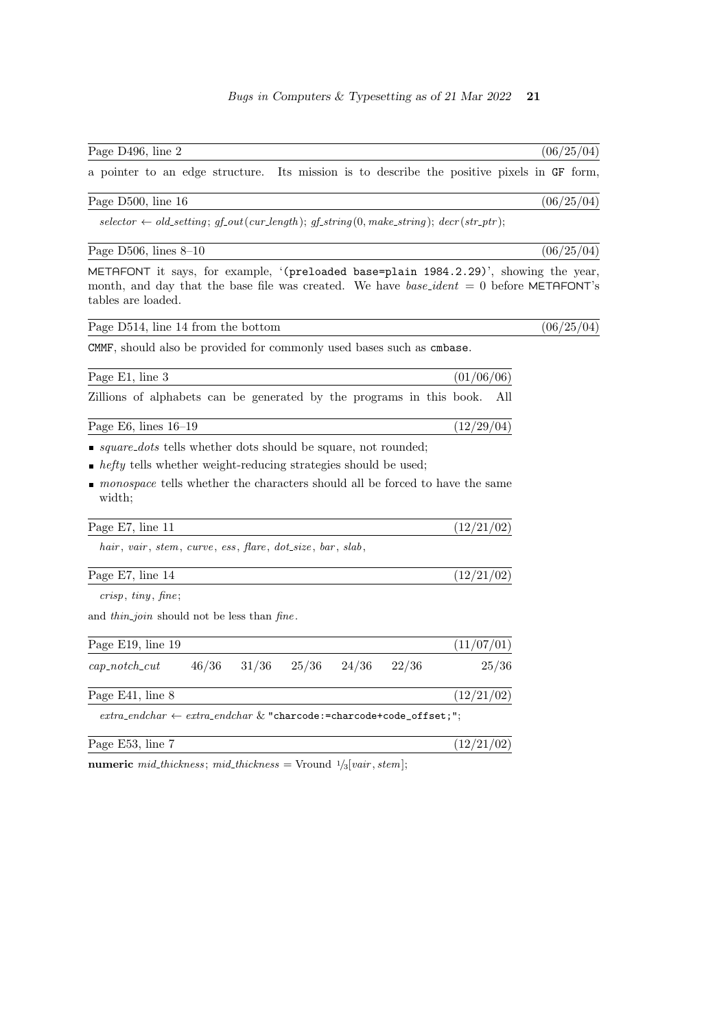| Page D496, line 2 | (06/25/04) |  |
|-------------------|------------|--|
|                   |            |  |

a pointer to an edge structure. Its mission is to describe the positive pixels in GF form,

## Page D500, line  $16$  (06/25/04)

 $selector \leftarrow old_settings; gf.out(cur_length); gf_string(0, make-string); decr(str_pr);$ 

Page D506, lines 8–10 (06/25/04)

METAFONT it says, for example, '(preloaded base=plain 1984.2.29)', showing the year, month, and day that the base file was created. We have  $base\_ident = 0$  before METAFONT's tables are loaded.

| Page D514, line 14 from the bottom |  |  |  |  |  |
|------------------------------------|--|--|--|--|--|
|------------------------------------|--|--|--|--|--|

CMMF, should also be provided for commonly used bases such as cmbase.

| Page E1, line 3                                                                        |  |                                 |       | (01/06/06) |       |
|----------------------------------------------------------------------------------------|--|---------------------------------|-------|------------|-------|
| Zillions of alphabets can be generated by the programs in this book.                   |  |                                 |       |            | All   |
| Page E6, lines $16-19$                                                                 |  |                                 |       | (12/29/04) |       |
| <i>square_dots</i> tells whether dots should be square, not rounded;                   |  |                                 |       |            |       |
| • <i>hefty</i> tells whether weight-reducing strategies should be used;                |  |                                 |       |            |       |
| monospace tells whether the characters should all be forced to have the same<br>width; |  |                                 |       |            |       |
| Page E7, line 11                                                                       |  |                                 |       | (12/21/02) |       |
| hair, vair, stem, curve, ess, flare, dot_size, bar, slab,                              |  |                                 |       |            |       |
| Page E7, line 14                                                                       |  |                                 |       | (12/21/02) |       |
| crisp, tiny, fine;                                                                     |  |                                 |       |            |       |
| and <i>thin_join</i> should not be less than <i>fine</i> .                             |  |                                 |       |            |       |
| Page E19, line 19                                                                      |  |                                 |       | (11/07/01) |       |
| $cap\_notch\_cut$                                                                      |  | $46/36$ $31/36$ $25/36$ $24/36$ | 22/36 |            | 25/36 |
| Page E41, line 8                                                                       |  |                                 |       | (12/21/02) |       |
| $extra\_endchar \leftarrow extra\_endchar \& "charcode:=charcode+code\_offset;";$      |  |                                 |       |            |       |
| Page E53, line 7                                                                       |  |                                 |       | (12/21/02) |       |

numeric mid\_thickness; mid\_thickness = Vround  $\frac{1}{3}$ [vair, stem];

 $\sqrt{(06/25/04)}$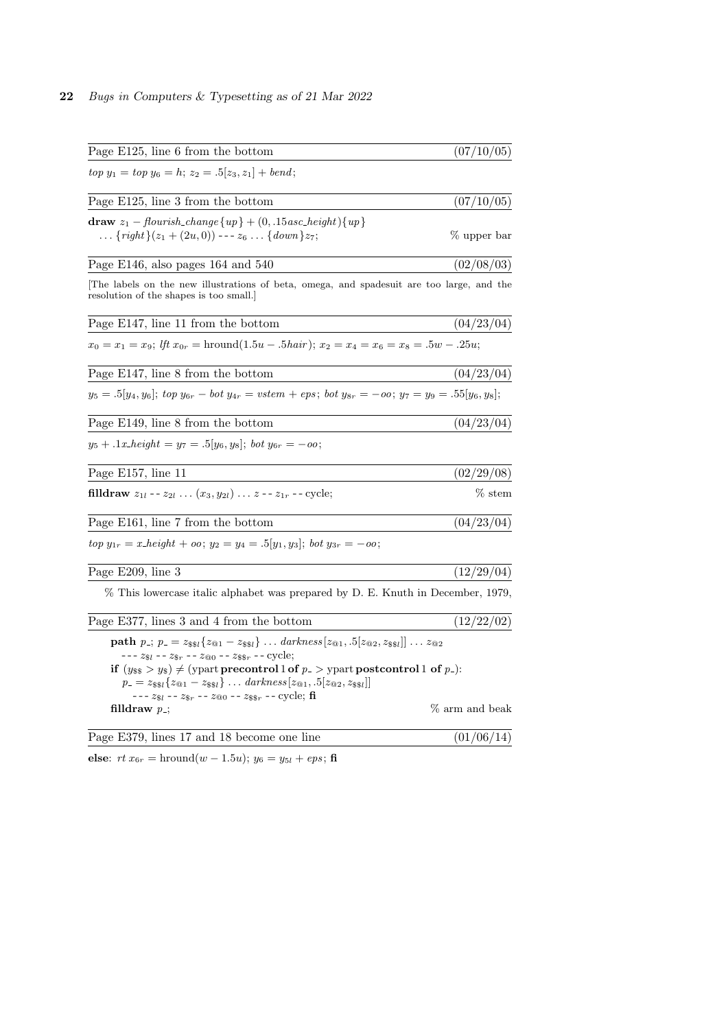| Page E125, line 6 from the bottom                                                                                                                                                                                                                                                                                                                                                                                                                                                                                                        | (07/10/05)     |
|------------------------------------------------------------------------------------------------------------------------------------------------------------------------------------------------------------------------------------------------------------------------------------------------------------------------------------------------------------------------------------------------------------------------------------------------------------------------------------------------------------------------------------------|----------------|
| $top y_1 = top y_6 = h; z_2 = .5[z_3, z_1] + bend;$                                                                                                                                                                                                                                                                                                                                                                                                                                                                                      |                |
| Page E125, line 3 from the bottom                                                                                                                                                                                                                                                                                                                                                                                                                                                                                                        | (07/10/05)     |
| draw $z_1$ – flourish_change {up} + (0, .15 asc_height) {up}<br>$\{right\}(z_1 + (2u, 0))$ --- $z_6$ $\{down\}z_7$ ;                                                                                                                                                                                                                                                                                                                                                                                                                     | % upper bar    |
| Page E146, also pages 164 and 540                                                                                                                                                                                                                                                                                                                                                                                                                                                                                                        | (02/08/03)     |
| The labels on the new illustrations of beta, omega, and spades uit are too large, and the<br>resolution of the shapes is too small.                                                                                                                                                                                                                                                                                                                                                                                                      |                |
| Page E147, line 11 from the bottom                                                                                                                                                                                                                                                                                                                                                                                                                                                                                                       | (04/23/04)     |
| $x_0 = x_1 = x_9$ ; If $x_{0r} = \text{hround}(1.5u - .5hair)$ ; $x_2 = x_4 = x_6 = x_8 = .5w - .25u$ ;                                                                                                                                                                                                                                                                                                                                                                                                                                  |                |
| Page E147, line 8 from the bottom                                                                                                                                                                                                                                                                                                                                                                                                                                                                                                        | (04/23/04)     |
| $y_5 = .5[y_4, y_6]$ ; top $y_{6r} - bot y_{4r} = vstem +eps$ ; bot $y_{8r} = -oo$ ; $y_7 = y_9 = .55[y_6, y_8]$ ;                                                                                                                                                                                                                                                                                                                                                                                                                       |                |
| Page E149, line 8 from the bottom                                                                                                                                                                                                                                                                                                                                                                                                                                                                                                        | (04/23/04)     |
| $y_5 + .1x \text{.} height = y_7 = .5 y_6, y_8 $ ; bot $y_{6r} = -\omega$ ;                                                                                                                                                                                                                                                                                                                                                                                                                                                              |                |
| Page E157, line 11                                                                                                                                                                                                                                                                                                                                                                                                                                                                                                                       | (02/29/08)     |
| <b>filldraw</b> $z_{1l}$ -- $z_{2l}$ $(x_3, y_{2l})$ $z$ -- $z_{1r}$ -- cycle;                                                                                                                                                                                                                                                                                                                                                                                                                                                           | $\%$ stem      |
| Page E161, line 7 from the bottom                                                                                                                                                                                                                                                                                                                                                                                                                                                                                                        | (04/23/04)     |
| $top y_{1r} = x_{\text{.}} height + oo; y_2 = y_4 = .5[y_1, y_3]; bot y_{3r} = -oo;$                                                                                                                                                                                                                                                                                                                                                                                                                                                     |                |
| Page E209, line 3                                                                                                                                                                                                                                                                                                                                                                                                                                                                                                                        | (12/29/04)     |
| % This lowercase italic alphabet was prepared by D. E. Knuth in December, 1979,                                                                                                                                                                                                                                                                                                                                                                                                                                                          |                |
| Page E377, lines 3 and 4 from the bottom                                                                                                                                                                                                                                                                                                                                                                                                                                                                                                 | (12/22/02)     |
| <b>path</b> $p_{-}; p_{-} = z_{\$1} \{z_{\text{Q1}} - z_{\$1}\} \dots \text{darkness}[z_{\text{Q1}}, .5[z_{\text{Q2}}, z_{\$1}]] \dots z_{\text{Q2}}$<br>--- $z_{\$l}$ -- $z_{\$r}$ -- $z_{@0}$ -- $z_{\$r}$ -- $\text{cycle};$<br>if $(y_{ss} > y_s) \neq (ypart\,normal{precontrol 1 of } p > ypart\,normal{postcontrol 1 of } p.):$<br>$p_{-} = z_{\$1}\{z_{\text{@1}} - z_{\$1}\} \ldots \text{darkness}[z_{\text{@1}}, .5[z_{\text{@2}}, z_{\$1}]]$<br>--- $z_{s_l}$ -- $z_{s_r}$ -- $z_{\text{\&}0}$ -- $z_{s_{s_r}}$ -- cycle; fi |                |
| filldraw $p_{-}$ ;                                                                                                                                                                                                                                                                                                                                                                                                                                                                                                                       | % arm and beak |
| Page E379, lines 17 and 18 become one line                                                                                                                                                                                                                                                                                                                                                                                                                                                                                               | (01/06/14)     |

else:  $rt x_{6r} = \text{hround}(w - 1.5u); y_6 = y_{5l} + eps; \textbf{fi}$